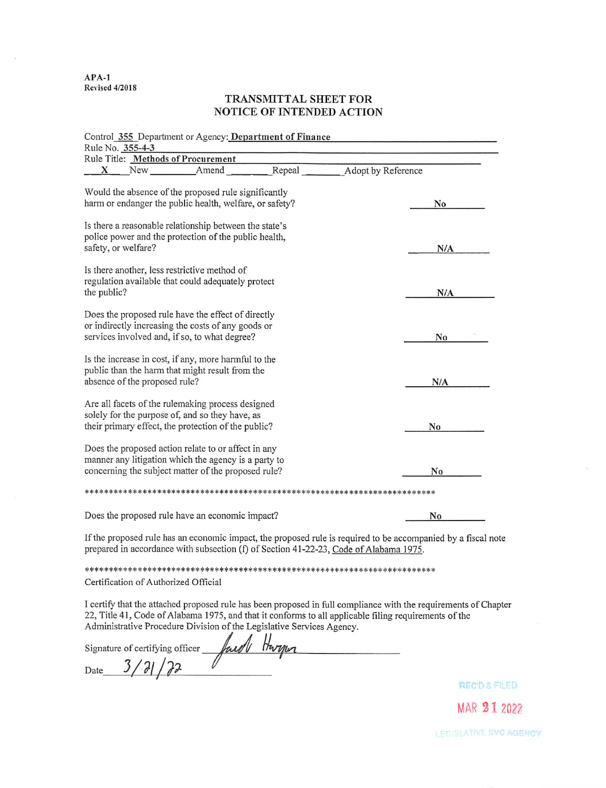$APA-1$ **Revised 4/2018** 

# TRANSMITTAL SHEET FOR NOTICE OF INTENDED ACTION

| Control 355 Department or Agency: Department of Finance                                                                                                            |       |        |                    |                                                                                                             |
|--------------------------------------------------------------------------------------------------------------------------------------------------------------------|-------|--------|--------------------|-------------------------------------------------------------------------------------------------------------|
| Rule No. 355-4-3                                                                                                                                                   |       |        |                    |                                                                                                             |
| Rule Title: Methods of Procurement                                                                                                                                 |       |        |                    |                                                                                                             |
| New<br>X                                                                                                                                                           | Amend | Repeal | Adopt by Reference |                                                                                                             |
| Would the absence of the proposed rule significantly<br>harm or endanger the public health, welfare, or safety?                                                    |       |        |                    | No                                                                                                          |
| Is there a reasonable relationship between the state's<br>police power and the protection of the public health,<br>safety, or welfare?                             |       |        |                    | N/A                                                                                                         |
| Is there another, less restrictive method of<br>regulation available that could adequately protect<br>the public?                                                  |       |        |                    | N/A                                                                                                         |
| Does the proposed rule have the effect of directly<br>or indirectly increasing the costs of any goods or<br>services involved and, if so, to what degree?          |       |        |                    | No                                                                                                          |
| Is the increase in cost, if any, more harmful to the<br>public than the harm that might result from the<br>absence of the proposed rule?                           |       |        |                    | N/A                                                                                                         |
| Are all facets of the rulemaking process designed<br>solely for the purpose of, and so they have, as<br>their primary effect, the protection of the public?        |       |        |                    | No                                                                                                          |
| Does the proposed action relate to or affect in any<br>manner any litigation which the agency is a party to<br>concerning the subject matter of the proposed rule? |       |        |                    | No                                                                                                          |
|                                                                                                                                                                    |       |        |                    |                                                                                                             |
| Does the proposed rule have an economic impact?                                                                                                                    |       |        |                    | N <sub>0</sub>                                                                                              |
|                                                                                                                                                                    |       |        |                    | If the proposed rule has an economic impact, the proposed rule is required to be accompanied by a fiscal no |

te prepared in accordance with subsection (f) of Section 41-22-23, Code of Alabama 1975.

Certification of Authorized Official

I certify that the attached proposed rule has been proposed in full compliance with the requirements of Chapter 22, Title 41, Code of Alabama 1975, and that it conforms to all applicable filing requirements of the Administrative Procedure Division of the Legislative Services Agency.

faid Harper Signature of certifying officer Date  $3/7/7$ 

**REC'D & FILED** 

MAR 21 2022

LEGISLATIVE SVC AGENCY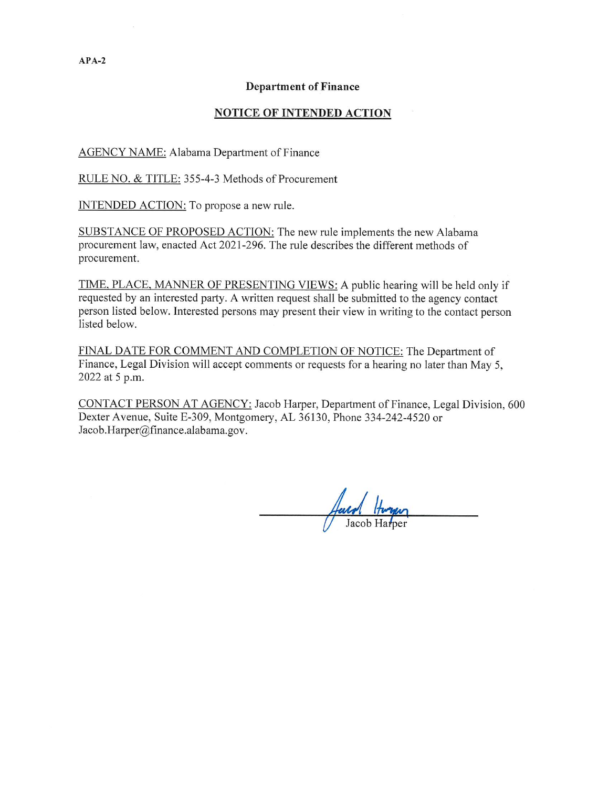## **Department of Finance**

## **NOTICE OF INTENDED ACTION**

AGENCY NAME: Alabama Department of Finance

RULE NO. & TITLE: 355-4-3 Methods of Procurement

INTENDED ACTION: To propose a new rule.

SUBSTANCE OF PROPOSED ACTION: The new rule implements the new Alabama procurement law, enacted Act 2021-296. The rule describes the different methods of procurement.

TIME, PLACE, MANNER OF PRESENTING VIEWS: A public hearing will be held only if requested by an interested party. A written request shall be submitted to the agency contact person listed below. Interested persons may present their view in writing to the contact person listed below.

FINAL DATE FOR COMMENT AND COMPLETION OF NOTICE: The Department of Finance, Legal Division will accept comments or requests for a hearing no later than May 5, 2022 at 5 p.m.

CONTACT PERSON AT AGENCY: Jacob Harper, Department of Finance, Legal Division, 600 Dexter Avenue, Suite E-309, Montgomery, AL 36130, Phone 334-242-4520 or Jacob.Harper@finance.alabama.gov.

 $APA-2$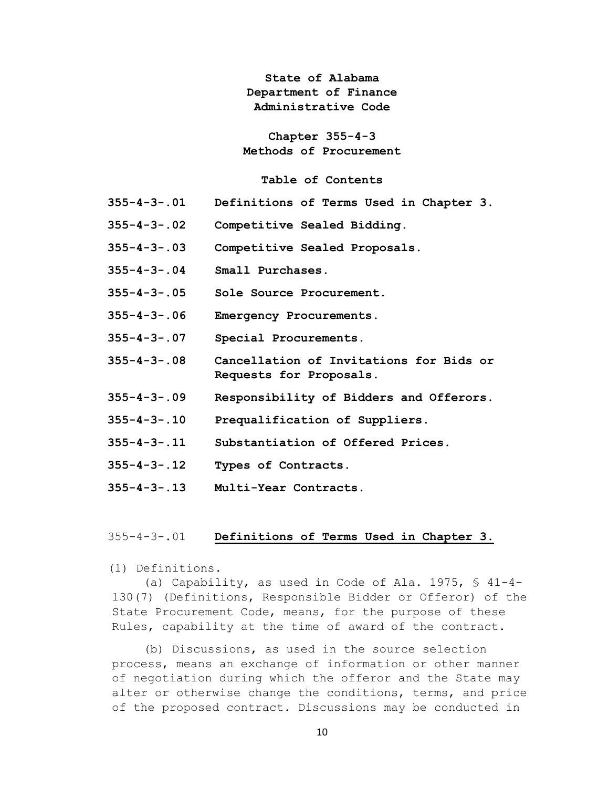**State of Alabama Department of Finance Administrative Code**

**Chapter 355-4-3 Methods of Procurement**

## **Table of Contents**

- **355-4-3-.01 Definitions of Terms Used in Chapter 3.**
- **355-4-3-.02 Competitive Sealed Bidding.**
- **355-4-3-.03 Competitive Sealed Proposals.**
- **355-4-3-.04 Small Purchases.**
- **355-4-3-.05 Sole Source Procurement.**
- **355-4-3-.06 Emergency Procurements.**
- **355-4-3-.07 Special Procurements.**
- **355-4-3-.08 Cancellation of Invitations for Bids or Requests for Proposals.**
- **355-4-3-.09 Responsibility of Bidders and Offerors.**
- **355-4-3-.10 Prequalification of Suppliers.**
- **355-4-3-.11 Substantiation of Offered Prices.**
- **355-4-3-.12 Types of Contracts.**
- **355-4-3-.13 Multi-Year Contracts.**

# 355-4-3-.01 **Definitions of Terms Used in Chapter 3.**

(1) Definitions.

(a) Capability, as used in Code of Ala. 1975, § 41-4- 130(7) (Definitions, Responsible Bidder or Offeror) of the State Procurement Code, means, for the purpose of these Rules, capability at the time of award of the contract.

(b) Discussions, as used in the source selection process, means an exchange of information or other manner of negotiation during which the offeror and the State may alter or otherwise change the conditions, terms, and price of the proposed contract. Discussions may be conducted in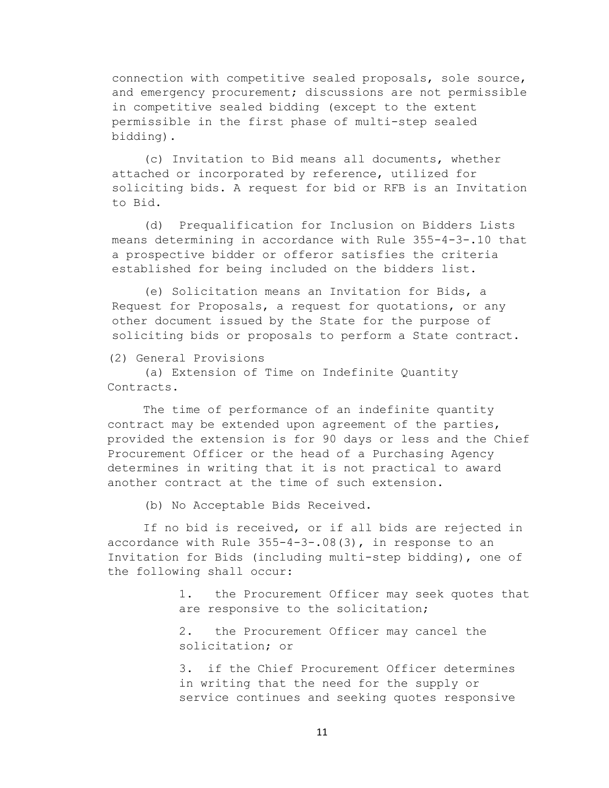connection with competitive sealed proposals, sole source, and emergency procurement; discussions are not permissible in competitive sealed bidding (except to the extent permissible in the first phase of multi-step sealed bidding).

(c) Invitation to Bid means all documents, whether attached or incorporated by reference, utilized for soliciting bids. A request for bid or RFB is an Invitation to Bid.

(d) Prequalification for Inclusion on Bidders Lists means determining in accordance with Rule 355-4-3-.10 that a prospective bidder or offeror satisfies the criteria established for being included on the bidders list.

(e) Solicitation means an Invitation for Bids, a Request for Proposals, a request for quotations, or any other document issued by the State for the purpose of soliciting bids or proposals to perform a State contract.

(2) General Provisions

(a) Extension of Time on Indefinite Quantity Contracts.

The time of performance of an indefinite quantity contract may be extended upon agreement of the parties, provided the extension is for 90 days or less and the Chief Procurement Officer or the head of a Purchasing Agency determines in writing that it is not practical to award another contract at the time of such extension.

(b) No Acceptable Bids Received.

If no bid is received, or if all bids are rejected in accordance with Rule 355-4-3-.08(3), in response to an Invitation for Bids (including multi-step bidding), one of the following shall occur:

> 1. the Procurement Officer may seek quotes that are responsive to the solicitation;

2. the Procurement Officer may cancel the solicitation; or

3. if the Chief Procurement Officer determines in writing that the need for the supply or service continues and seeking quotes responsive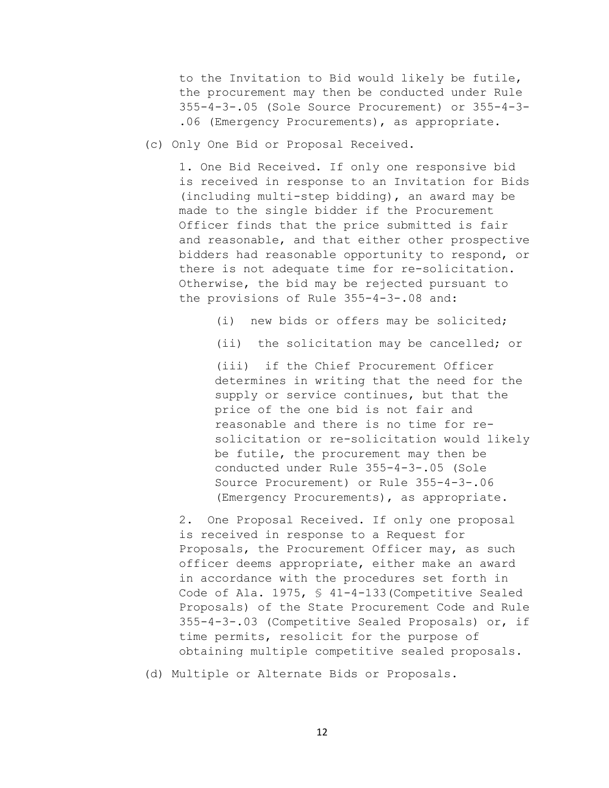to the Invitation to Bid would likely be futile, the procurement may then be conducted under Rule 355-4-3-.05 (Sole Source Procurement) or 355-4-3- .06 (Emergency Procurements), as appropriate.

(c) Only One Bid or Proposal Received.

1. One Bid Received. If only one responsive bid is received in response to an Invitation for Bids (including multi-step bidding), an award may be made to the single bidder if the Procurement Officer finds that the price submitted is fair and reasonable, and that either other prospective bidders had reasonable opportunity to respond, or there is not adequate time for re-solicitation. Otherwise, the bid may be rejected pursuant to the provisions of Rule 355-4-3-.08 and:

(i) new bids or offers may be solicited;

(ii) the solicitation may be cancelled; or

(iii) if the Chief Procurement Officer determines in writing that the need for the supply or service continues, but that the price of the one bid is not fair and reasonable and there is no time for resolicitation or re-solicitation would likely be futile, the procurement may then be conducted under Rule 355-4-3-.05 (Sole Source Procurement) or Rule 355-4-3-.06 (Emergency Procurements), as appropriate.

2. One Proposal Received. If only one proposal is received in response to a Request for Proposals, the Procurement Officer may, as such officer deems appropriate, either make an award in accordance with the procedures set forth in Code of Ala. 1975, § 41-4-133(Competitive Sealed Proposals) of the State Procurement Code and Rule 355-4-3-.03 (Competitive Sealed Proposals) or, if time permits, resolicit for the purpose of obtaining multiple competitive sealed proposals.

(d) Multiple or Alternate Bids or Proposals.

12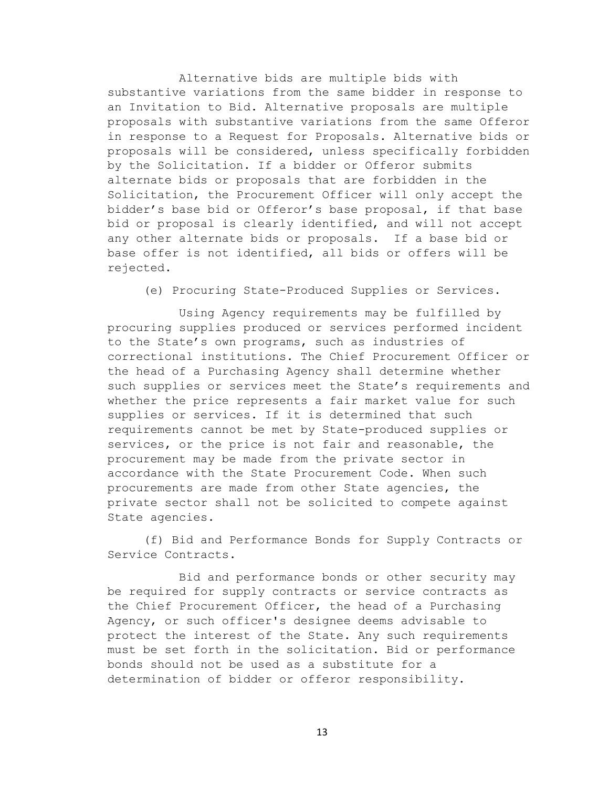Alternative bids are multiple bids with substantive variations from the same bidder in response to an Invitation to Bid. Alternative proposals are multiple proposals with substantive variations from the same Offeror in response to a Request for Proposals. Alternative bids or proposals will be considered, unless specifically forbidden by the Solicitation. If a bidder or Offeror submits alternate bids or proposals that are forbidden in the Solicitation, the Procurement Officer will only accept the bidder's base bid or Offeror's base proposal, if that base bid or proposal is clearly identified, and will not accept any other alternate bids or proposals. If a base bid or base offer is not identified, all bids or offers will be rejected.

(e) Procuring State-Produced Supplies or Services.

Using Agency requirements may be fulfilled by procuring supplies produced or services performed incident to the State's own programs, such as industries of correctional institutions. The Chief Procurement Officer or the head of a Purchasing Agency shall determine whether such supplies or services meet the State's requirements and whether the price represents a fair market value for such supplies or services. If it is determined that such requirements cannot be met by State-produced supplies or services, or the price is not fair and reasonable, the procurement may be made from the private sector in accordance with the State Procurement Code. When such procurements are made from other State agencies, the private sector shall not be solicited to compete against State agencies.

(f) Bid and Performance Bonds for Supply Contracts or Service Contracts.

Bid and performance bonds or other security may be required for supply contracts or service contracts as the Chief Procurement Officer, the head of a Purchasing Agency, or such officer's designee deems advisable to protect the interest of the State. Any such requirements must be set forth in the solicitation. Bid or performance bonds should not be used as a substitute for a determination of bidder or offeror responsibility.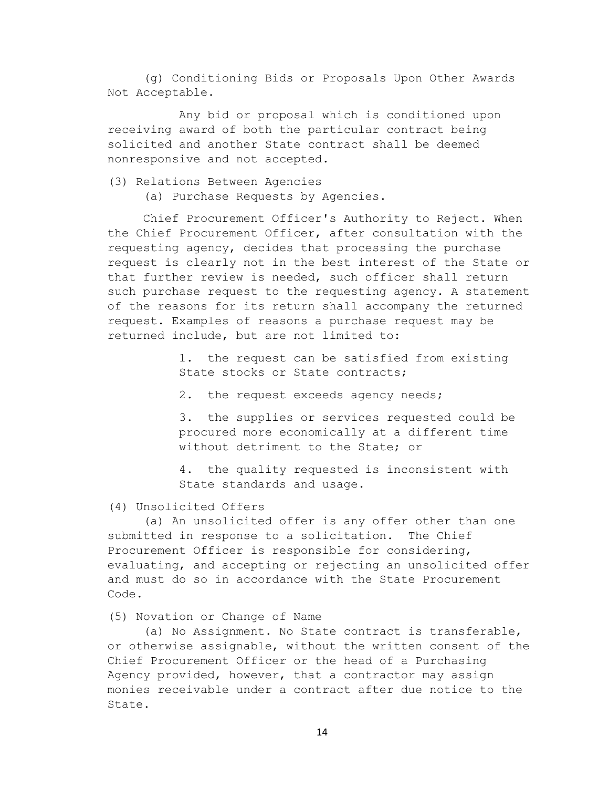(g) Conditioning Bids or Proposals Upon Other Awards Not Acceptable.

Any bid or proposal which is conditioned upon receiving award of both the particular contract being solicited and another State contract shall be deemed nonresponsive and not accepted.

(3) Relations Between Agencies

(a) Purchase Requests by Agencies.

Chief Procurement Officer's Authority to Reject. When the Chief Procurement Officer, after consultation with the requesting agency, decides that processing the purchase request is clearly not in the best interest of the State or that further review is needed, such officer shall return such purchase request to the requesting agency. A statement of the reasons for its return shall accompany the returned request. Examples of reasons a purchase request may be returned include, but are not limited to:

> 1. the request can be satisfied from existing State stocks or State contracts;

2. the request exceeds agency needs;

3. the supplies or services requested could be procured more economically at a different time without detriment to the State; or

4. the quality requested is inconsistent with State standards and usage.

## (4) Unsolicited Offers

(a) An unsolicited offer is any offer other than one submitted in response to a solicitation. The Chief Procurement Officer is responsible for considering, evaluating, and accepting or rejecting an unsolicited offer and must do so in accordance with the State Procurement Code.

## (5) Novation or Change of Name

(a) No Assignment. No State contract is transferable, or otherwise assignable, without the written consent of the Chief Procurement Officer or the head of a Purchasing Agency provided, however, that a contractor may assign monies receivable under a contract after due notice to the State.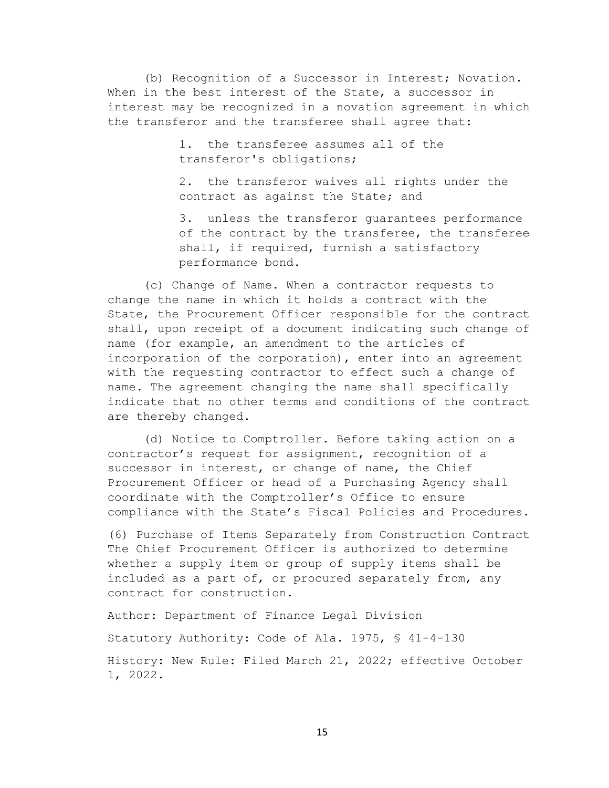(b) Recognition of a Successor in Interest; Novation. When in the best interest of the State, a successor in interest may be recognized in a novation agreement in which the transferor and the transferee shall agree that:

> 1. the transferee assumes all of the transferor's obligations;

2. the transferor waives all rights under the contract as against the State; and

3. unless the transferor guarantees performance of the contract by the transferee, the transferee shall, if required, furnish a satisfactory performance bond.

(c) Change of Name. When a contractor requests to change the name in which it holds a contract with the State, the Procurement Officer responsible for the contract shall, upon receipt of a document indicating such change of name (for example, an amendment to the articles of incorporation of the corporation), enter into an agreement with the requesting contractor to effect such a change of name. The agreement changing the name shall specifically indicate that no other terms and conditions of the contract are thereby changed.

(d) Notice to Comptroller. Before taking action on a contractor's request for assignment, recognition of a successor in interest, or change of name, the Chief Procurement Officer or head of a Purchasing Agency shall coordinate with the Comptroller's Office to ensure compliance with the State's Fiscal Policies and Procedures.

(6) Purchase of Items Separately from Construction Contract The Chief Procurement Officer is authorized to determine whether a supply item or group of supply items shall be included as a part of, or procured separately from, any contract for construction.

Author: Department of Finance Legal Division

Statutory Authority: Code of Ala. 1975, § 41-4-130

History: New Rule: Filed March 21, 2022; effective October 1, 2022.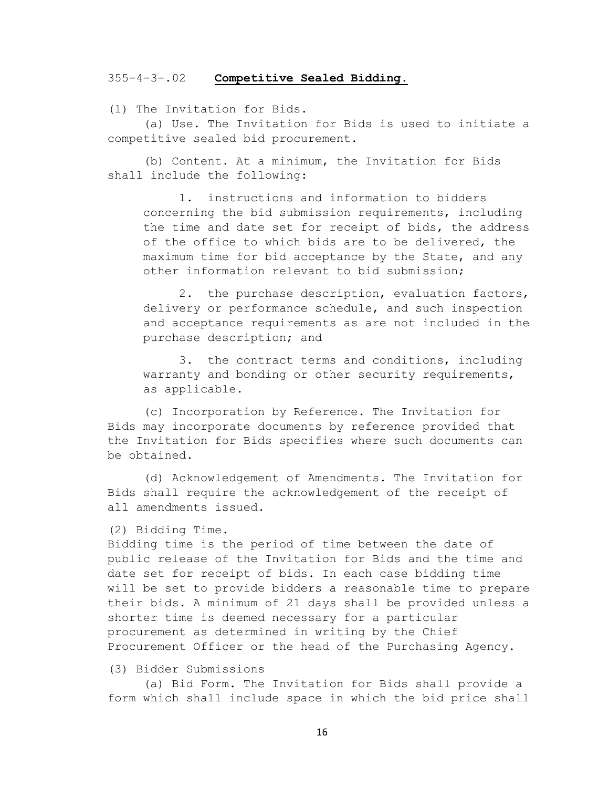#### 355-4-3-.02 **Competitive Sealed Bidding.**

(1) The Invitation for Bids.

(a) Use. The Invitation for Bids is used to initiate a competitive sealed bid procurement.

(b) Content. At a minimum, the Invitation for Bids shall include the following:

1. instructions and information to bidders concerning the bid submission requirements, including the time and date set for receipt of bids, the address of the office to which bids are to be delivered, the maximum time for bid acceptance by the State, and any other information relevant to bid submission;

2. the purchase description, evaluation factors, delivery or performance schedule, and such inspection and acceptance requirements as are not included in the purchase description; and

3. the contract terms and conditions, including warranty and bonding or other security requirements, as applicable.

(c) Incorporation by Reference. The Invitation for Bids may incorporate documents by reference provided that the Invitation for Bids specifies where such documents can be obtained.

(d) Acknowledgement of Amendments. The Invitation for Bids shall require the acknowledgement of the receipt of all amendments issued.

#### (2) Bidding Time.

Bidding time is the period of time between the date of public release of the Invitation for Bids and the time and date set for receipt of bids. In each case bidding time will be set to provide bidders a reasonable time to prepare their bids. A minimum of 21 days shall be provided unless a shorter time is deemed necessary for a particular procurement as determined in writing by the Chief Procurement Officer or the head of the Purchasing Agency.

# (3) Bidder Submissions

(a) Bid Form. The Invitation for Bids shall provide a form which shall include space in which the bid price shall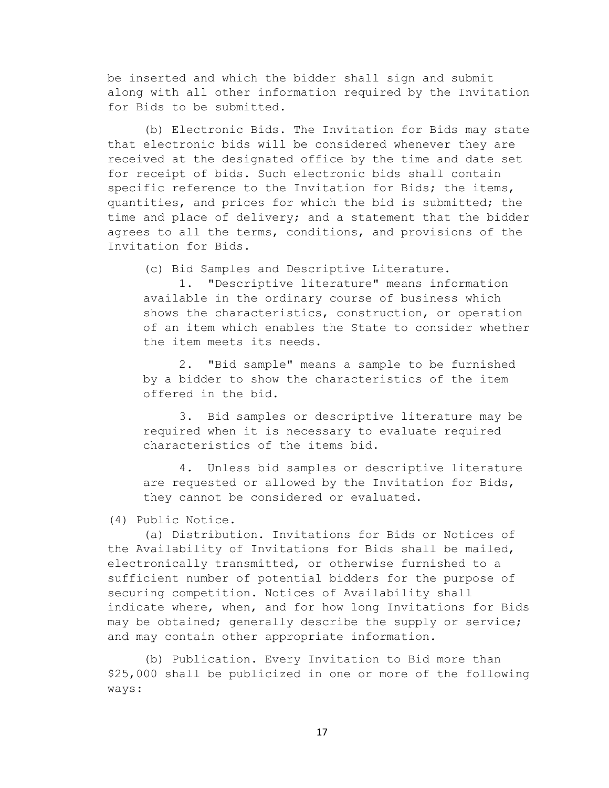be inserted and which the bidder shall sign and submit along with all other information required by the Invitation for Bids to be submitted.

(b) Electronic Bids. The Invitation for Bids may state that electronic bids will be considered whenever they are received at the designated office by the time and date set for receipt of bids. Such electronic bids shall contain specific reference to the Invitation for Bids; the items, quantities, and prices for which the bid is submitted; the time and place of delivery; and a statement that the bidder agrees to all the terms, conditions, and provisions of the Invitation for Bids.

(c) Bid Samples and Descriptive Literature.

1. "Descriptive literature" means information available in the ordinary course of business which shows the characteristics, construction, or operation of an item which enables the State to consider whether the item meets its needs.

2. "Bid sample" means a sample to be furnished by a bidder to show the characteristics of the item offered in the bid.

3. Bid samples or descriptive literature may be required when it is necessary to evaluate required characteristics of the items bid.

4. Unless bid samples or descriptive literature are requested or allowed by the Invitation for Bids, they cannot be considered or evaluated.

(4) Public Notice.

(a) Distribution. Invitations for Bids or Notices of the Availability of Invitations for Bids shall be mailed, electronically transmitted, or otherwise furnished to a sufficient number of potential bidders for the purpose of securing competition. Notices of Availability shall indicate where, when, and for how long Invitations for Bids may be obtained; generally describe the supply or service; and may contain other appropriate information.

(b) Publication. Every Invitation to Bid more than \$25,000 shall be publicized in one or more of the following ways: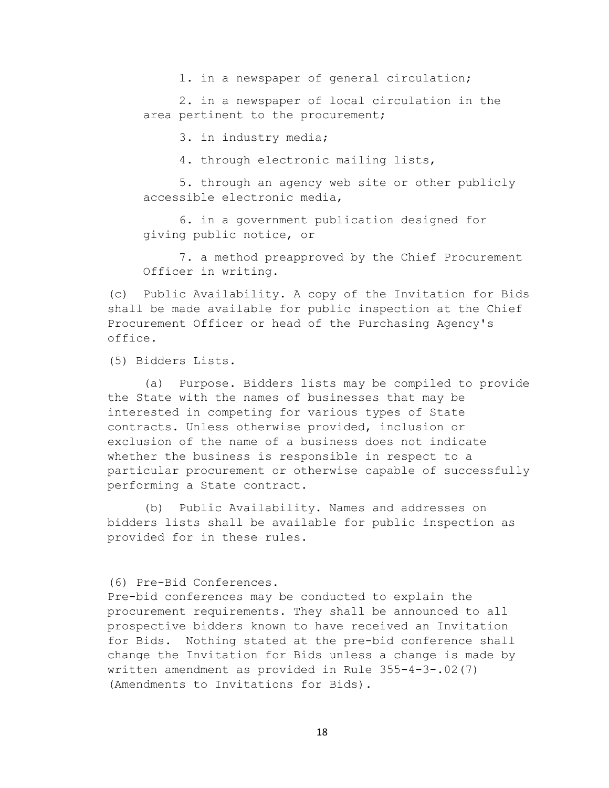1. in a newspaper of general circulation;

2. in a newspaper of local circulation in the area pertinent to the procurement;

3. in industry media;

4. through electronic mailing lists,

5. through an agency web site or other publicly accessible electronic media,

6. in a government publication designed for giving public notice, or

7. a method preapproved by the Chief Procurement Officer in writing.

(c) Public Availability. A copy of the Invitation for Bids shall be made available for public inspection at the Chief Procurement Officer or head of the Purchasing Agency's office.

(5) Bidders Lists.

(a) Purpose. Bidders lists may be compiled to provide the State with the names of businesses that may be interested in competing for various types of State contracts. Unless otherwise provided, inclusion or exclusion of the name of a business does not indicate whether the business is responsible in respect to a particular procurement or otherwise capable of successfully performing a State contract.

(b) Public Availability. Names and addresses on bidders lists shall be available for public inspection as provided for in these rules.

(6) Pre-Bid Conferences.

Pre-bid conferences may be conducted to explain the procurement requirements. They shall be announced to all prospective bidders known to have received an Invitation for Bids. Nothing stated at the pre-bid conference shall change the Invitation for Bids unless a change is made by written amendment as provided in Rule 355-4-3-.02(7) (Amendments to Invitations for Bids).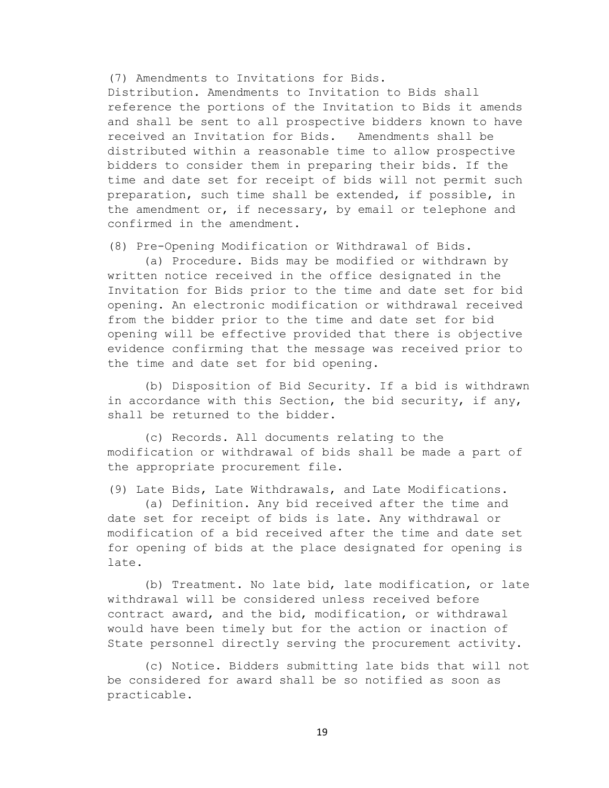(7) Amendments to Invitations for Bids.

Distribution. Amendments to Invitation to Bids shall reference the portions of the Invitation to Bids it amends and shall be sent to all prospective bidders known to have received an Invitation for Bids. Amendments shall be distributed within a reasonable time to allow prospective bidders to consider them in preparing their bids. If the time and date set for receipt of bids will not permit such preparation, such time shall be extended, if possible, in the amendment or, if necessary, by email or telephone and confirmed in the amendment.

(8) Pre-Opening Modification or Withdrawal of Bids.

(a) Procedure. Bids may be modified or withdrawn by written notice received in the office designated in the Invitation for Bids prior to the time and date set for bid opening. An electronic modification or withdrawal received from the bidder prior to the time and date set for bid opening will be effective provided that there is objective evidence confirming that the message was received prior to the time and date set for bid opening.

(b) Disposition of Bid Security. If a bid is withdrawn in accordance with this Section, the bid security, if any, shall be returned to the bidder.

(c) Records. All documents relating to the modification or withdrawal of bids shall be made a part of the appropriate procurement file.

(9) Late Bids, Late Withdrawals, and Late Modifications.

(a) Definition. Any bid received after the time and date set for receipt of bids is late. Any withdrawal or modification of a bid received after the time and date set for opening of bids at the place designated for opening is late.

(b) Treatment. No late bid, late modification, or late withdrawal will be considered unless received before contract award, and the bid, modification, or withdrawal would have been timely but for the action or inaction of State personnel directly serving the procurement activity.

(c) Notice. Bidders submitting late bids that will not be considered for award shall be so notified as soon as practicable.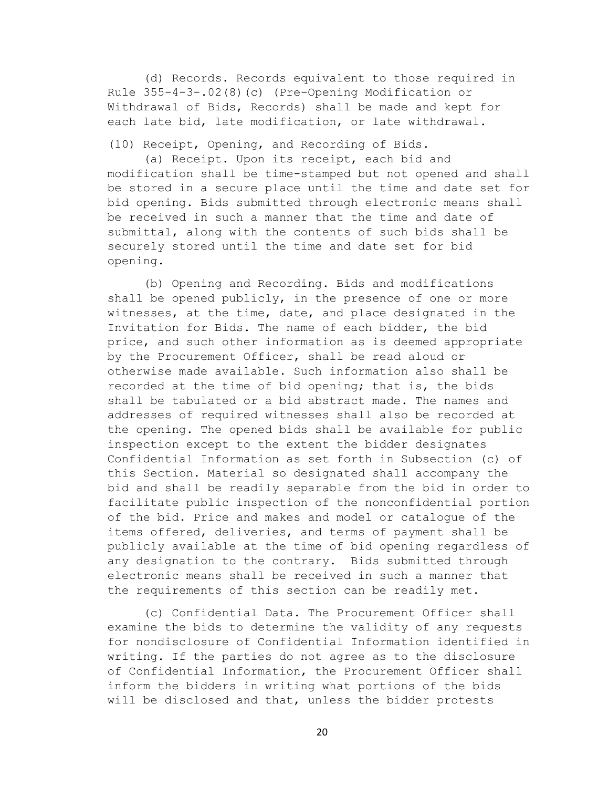(d) Records. Records equivalent to those required in Rule 355-4-3-.02(8)(c) (Pre-Opening Modification or Withdrawal of Bids, Records) shall be made and kept for each late bid, late modification, or late withdrawal.

(10) Receipt, Opening, and Recording of Bids.

(a) Receipt. Upon its receipt, each bid and modification shall be time-stamped but not opened and shall be stored in a secure place until the time and date set for bid opening. Bids submitted through electronic means shall be received in such a manner that the time and date of submittal, along with the contents of such bids shall be securely stored until the time and date set for bid opening.

(b) Opening and Recording. Bids and modifications shall be opened publicly, in the presence of one or more witnesses, at the time, date, and place designated in the Invitation for Bids. The name of each bidder, the bid price, and such other information as is deemed appropriate by the Procurement Officer, shall be read aloud or otherwise made available. Such information also shall be recorded at the time of bid opening; that is, the bids shall be tabulated or a bid abstract made. The names and addresses of required witnesses shall also be recorded at the opening. The opened bids shall be available for public inspection except to the extent the bidder designates Confidential Information as set forth in Subsection (c) of this Section. Material so designated shall accompany the bid and shall be readily separable from the bid in order to facilitate public inspection of the nonconfidential portion of the bid. Price and makes and model or catalogue of the items offered, deliveries, and terms of payment shall be publicly available at the time of bid opening regardless of any designation to the contrary. Bids submitted through electronic means shall be received in such a manner that the requirements of this section can be readily met.

(c) Confidential Data. The Procurement Officer shall examine the bids to determine the validity of any requests for nondisclosure of Confidential Information identified in writing. If the parties do not agree as to the disclosure of Confidential Information, the Procurement Officer shall inform the bidders in writing what portions of the bids will be disclosed and that, unless the bidder protests

20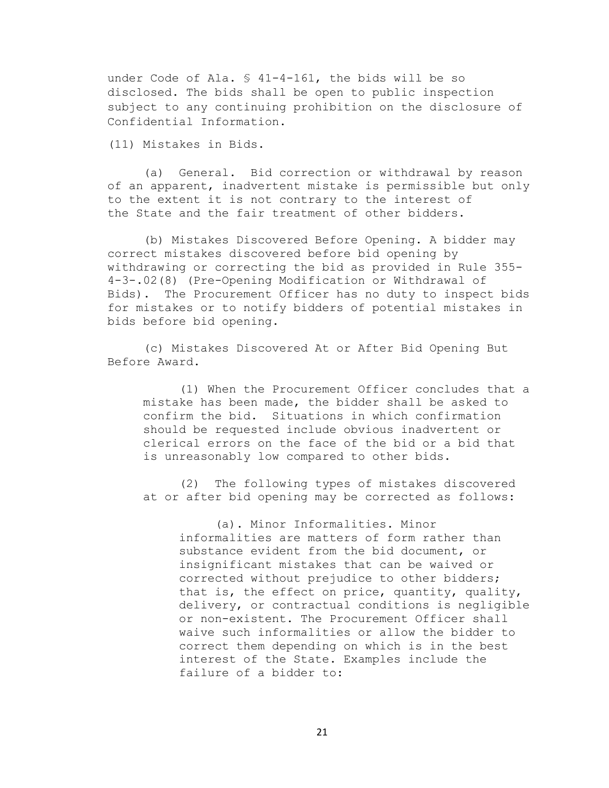under Code of Ala. § 41-4-161, the bids will be so disclosed. The bids shall be open to public inspection subject to any continuing prohibition on the disclosure of Confidential Information.

(11) Mistakes in Bids.

(a) General. Bid correction or withdrawal by reason of an apparent, inadvertent mistake is permissible but only to the extent it is not contrary to the interest of the State and the fair treatment of other bidders.

(b) Mistakes Discovered Before Opening. A bidder may correct mistakes discovered before bid opening by withdrawing or correcting the bid as provided in Rule 355- 4-3-.02(8) (Pre-Opening Modification or Withdrawal of Bids). The Procurement Officer has no duty to inspect bids for mistakes or to notify bidders of potential mistakes in bids before bid opening.

(c) Mistakes Discovered At or After Bid Opening But Before Award.

(1) When the Procurement Officer concludes that a mistake has been made, the bidder shall be asked to confirm the bid. Situations in which confirmation should be requested include obvious inadvertent or clerical errors on the face of the bid or a bid that is unreasonably low compared to other bids.

(2) The following types of mistakes discovered at or after bid opening may be corrected as follows:

(a). Minor Informalities. Minor informalities are matters of form rather than substance evident from the bid document, or insignificant mistakes that can be waived or corrected without prejudice to other bidders; that is, the effect on price, quantity, quality, delivery, or contractual conditions is negligible or non-existent. The Procurement Officer shall waive such informalities or allow the bidder to correct them depending on which is in the best interest of the State. Examples include the failure of a bidder to: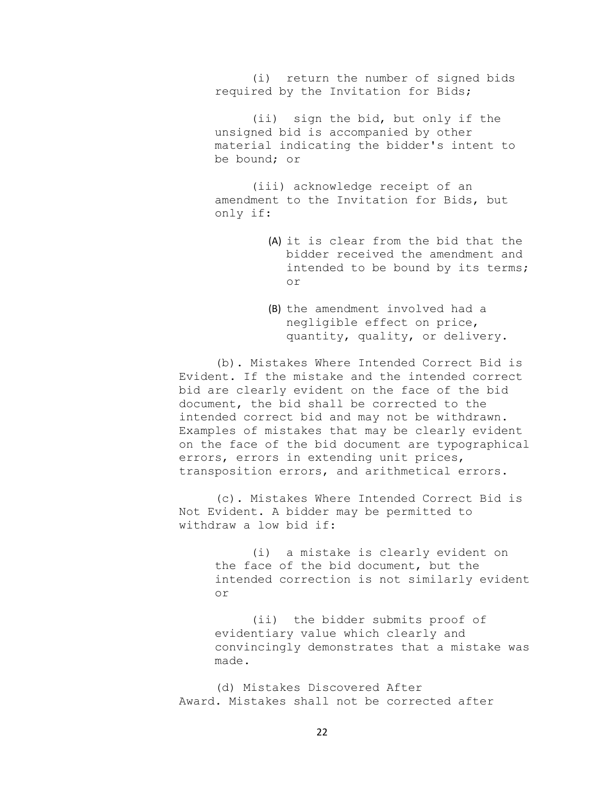(i) return the number of signed bids required by the Invitation for Bids;

(ii) sign the bid, but only if the unsigned bid is accompanied by other material indicating the bidder's intent to be bound; or

(iii) acknowledge receipt of an amendment to the Invitation for Bids, but only if:

- (A) it is clear from the bid that the bidder received the amendment and intended to be bound by its terms; or
- (B) the amendment involved had a negligible effect on price, quantity, quality, or delivery.

(b). Mistakes Where Intended Correct Bid is Evident. If the mistake and the intended correct bid are clearly evident on the face of the bid document, the bid shall be corrected to the intended correct bid and may not be withdrawn. Examples of mistakes that may be clearly evident on the face of the bid document are typographical errors, errors in extending unit prices, transposition errors, and arithmetical errors.

(c). Mistakes Where Intended Correct Bid is Not Evident. A bidder may be permitted to withdraw a low bid if:

> (i) a mistake is clearly evident on the face of the bid document, but the intended correction is not similarly evident or

> (ii) the bidder submits proof of evidentiary value which clearly and convincingly demonstrates that a mistake was made.

(d) Mistakes Discovered After Award. Mistakes shall not be corrected after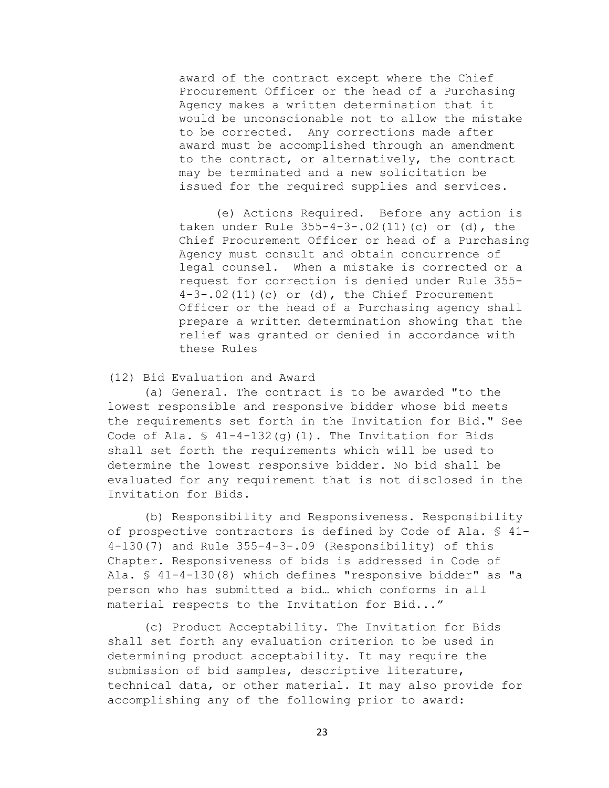award of the contract except where the Chief Procurement Officer or the head of a Purchasing Agency makes a written determination that it would be unconscionable not to allow the mistake to be corrected. Any corrections made after award must be accomplished through an amendment to the contract, or alternatively, the contract may be terminated and a new solicitation be issued for the required supplies and services.

(e) Actions Required. Before any action is taken under Rule 355-4-3-.02(11)(c) or (d), the Chief Procurement Officer or head of a Purchasing Agency must consult and obtain concurrence of legal counsel. When a mistake is corrected or a request for correction is denied under Rule 355-  $4-3-.02(11)(c)$  or (d), the Chief Procurement Officer or the head of a Purchasing agency shall prepare a written determination showing that the relief was granted or denied in accordance with these Rules

# (12) Bid Evaluation and Award

(a) General. The contract is to be awarded "to the lowest responsible and responsive bidder whose bid meets the requirements set forth in the Invitation for Bid." See Code of Ala.  $\frac{1}{2}$  41-4-132(q)(1). The Invitation for Bids shall set forth the requirements which will be used to determine the lowest responsive bidder. No bid shall be evaluated for any requirement that is not disclosed in the Invitation for Bids.

(b) Responsibility and Responsiveness. Responsibility of prospective contractors is defined by Code of Ala. § 41- 4-130(7) and Rule 355-4-3-.09 (Responsibility) of this Chapter. Responsiveness of bids is addressed in Code of Ala. § 41-4-130(8) which defines "responsive bidder" as "a person who has submitted a bid… which conforms in all material respects to the Invitation for Bid..."

(c) Product Acceptability. The Invitation for Bids shall set forth any evaluation criterion to be used in determining product acceptability. It may require the submission of bid samples, descriptive literature, technical data, or other material. It may also provide for accomplishing any of the following prior to award: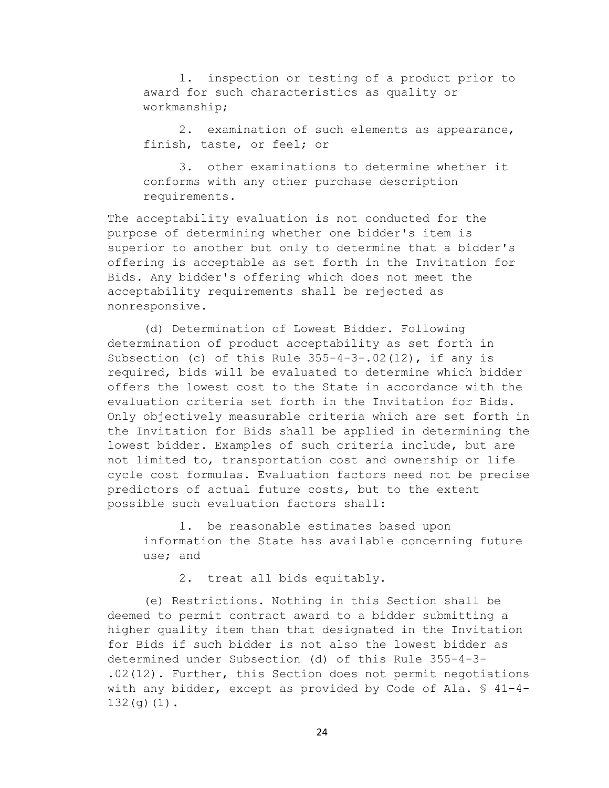1. inspection or testing of a product prior to award for such characteristics as quality or workmanship;

2. examination of such elements as appearance, finish, taste, or feel; or

3. other examinations to determine whether it conforms with any other purchase description requirements.

The acceptability evaluation is not conducted for the purpose of determining whether one bidder's item is superior to another but only to determine that a bidder's offering is acceptable as set forth in the Invitation for Bids. Any bidder's offering which does not meet the acceptability requirements shall be rejected as nonresponsive.

(d) Determination of Lowest Bidder. Following determination of product acceptability as set forth in Subsection (c) of this Rule 355-4-3-.02(12), if any is required, bids will be evaluated to determine which bidder offers the lowest cost to the State in accordance with the evaluation criteria set forth in the Invitation for Bids. Only objectively measurable criteria which are set forth in the Invitation for Bids shall be applied in determining the lowest bidder. Examples of such criteria include, but are not limited to, transportation cost and ownership or life cycle cost formulas. Evaluation factors need not be precise predictors of actual future costs, but to the extent possible such evaluation factors shall:

1. be reasonable estimates based upon information the State has available concerning future use; and

2. treat all bids equitably.

(e) Restrictions. Nothing in this Section shall be deemed to permit contract award to a bidder submitting a higher quality item than that designated in the Invitation for Bids if such bidder is not also the lowest bidder as determined under Subsection (d) of this Rule 355-4-3- .02(12). Further, this Section does not permit negotiations with any bidder, except as provided by Code of Ala. § 41-4- 132(g)(1).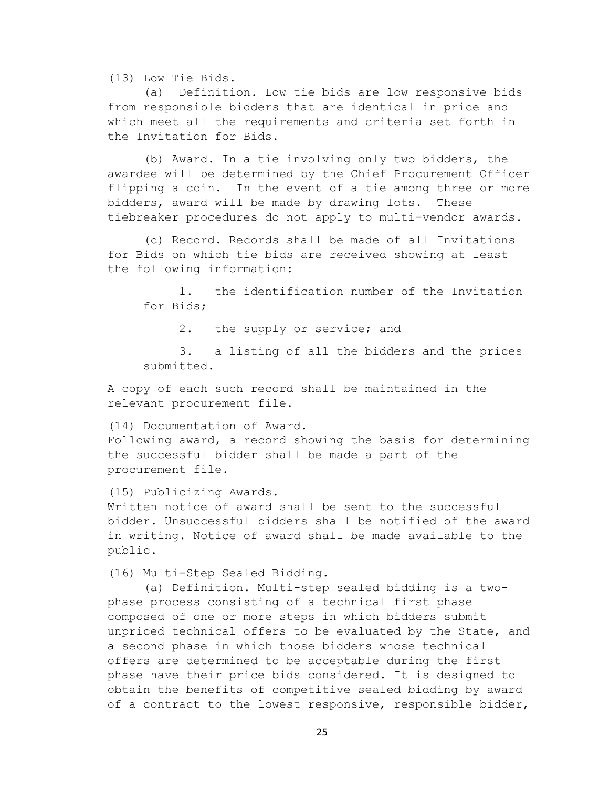(13) Low Tie Bids.

(a) Definition. Low tie bids are low responsive bids from responsible bidders that are identical in price and which meet all the requirements and criteria set forth in the Invitation for Bids.

(b) Award. In a tie involving only two bidders, the awardee will be determined by the Chief Procurement Officer flipping a coin. In the event of a tie among three or more bidders, award will be made by drawing lots. These tiebreaker procedures do not apply to multi-vendor awards.

(c) Record. Records shall be made of all Invitations for Bids on which tie bids are received showing at least the following information:

1. the identification number of the Invitation for Bids;

2. the supply or service; and

3. a listing of all the bidders and the prices submitted.

A copy of each such record shall be maintained in the relevant procurement file.

(14) Documentation of Award.

Following award, a record showing the basis for determining the successful bidder shall be made a part of the procurement file.

(15) Publicizing Awards.

Written notice of award shall be sent to the successful bidder. Unsuccessful bidders shall be notified of the award in writing. Notice of award shall be made available to the public.

(16) Multi-Step Sealed Bidding.

(a) Definition. Multi-step sealed bidding is a twophase process consisting of a technical first phase composed of one or more steps in which bidders submit unpriced technical offers to be evaluated by the State, and a second phase in which those bidders whose technical offers are determined to be acceptable during the first phase have their price bids considered. It is designed to obtain the benefits of competitive sealed bidding by award of a contract to the lowest responsive, responsible bidder,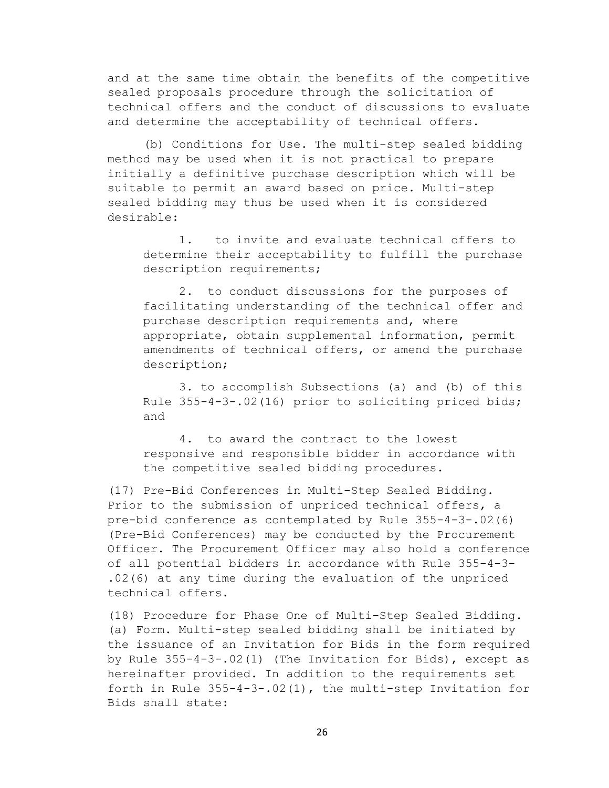and at the same time obtain the benefits of the competitive sealed proposals procedure through the solicitation of technical offers and the conduct of discussions to evaluate and determine the acceptability of technical offers.

(b) Conditions for Use. The multi-step sealed bidding method may be used when it is not practical to prepare initially a definitive purchase description which will be suitable to permit an award based on price. Multi-step sealed bidding may thus be used when it is considered desirable:

1. to invite and evaluate technical offers to determine their acceptability to fulfill the purchase description requirements;

2. to conduct discussions for the purposes of facilitating understanding of the technical offer and purchase description requirements and, where appropriate, obtain supplemental information, permit amendments of technical offers, or amend the purchase description;

3. to accomplish Subsections (a) and (b) of this Rule 355-4-3-.02(16) prior to soliciting priced bids; and

4. to award the contract to the lowest responsive and responsible bidder in accordance with the competitive sealed bidding procedures.

(17) Pre-Bid Conferences in Multi-Step Sealed Bidding. Prior to the submission of unpriced technical offers, a pre-bid conference as contemplated by Rule 355-4-3-.02(6) (Pre-Bid Conferences) may be conducted by the Procurement Officer. The Procurement Officer may also hold a conference of all potential bidders in accordance with Rule 355-4-3- .02(6) at any time during the evaluation of the unpriced technical offers.

(18) Procedure for Phase One of Multi-Step Sealed Bidding. (a) Form. Multi-step sealed bidding shall be initiated by the issuance of an Invitation for Bids in the form required by Rule 355-4-3-.02(1) (The Invitation for Bids), except as hereinafter provided. In addition to the requirements set forth in Rule 355-4-3-.02(1), the multi-step Invitation for Bids shall state: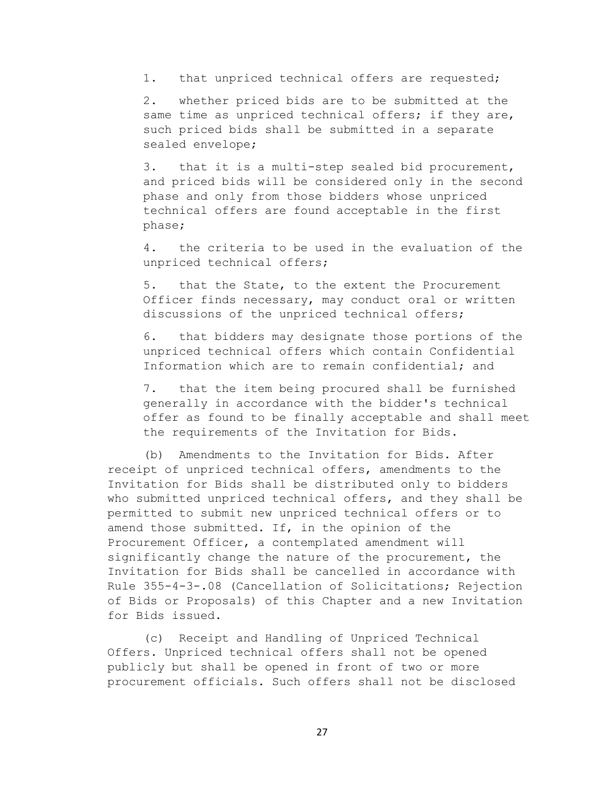1. that unpriced technical offers are requested;

2. whether priced bids are to be submitted at the same time as unpriced technical offers; if they are, such priced bids shall be submitted in a separate sealed envelope;

3. that it is a multi-step sealed bid procurement, and priced bids will be considered only in the second phase and only from those bidders whose unpriced technical offers are found acceptable in the first phase;

4. the criteria to be used in the evaluation of the unpriced technical offers;

5. that the State, to the extent the Procurement Officer finds necessary, may conduct oral or written discussions of the unpriced technical offers;

6. that bidders may designate those portions of the unpriced technical offers which contain Confidential Information which are to remain confidential; and

7. that the item being procured shall be furnished generally in accordance with the bidder's technical offer as found to be finally acceptable and shall meet the requirements of the Invitation for Bids.

(b) Amendments to the Invitation for Bids. After receipt of unpriced technical offers, amendments to the Invitation for Bids shall be distributed only to bidders who submitted unpriced technical offers, and they shall be permitted to submit new unpriced technical offers or to amend those submitted. If, in the opinion of the Procurement Officer, a contemplated amendment will significantly change the nature of the procurement, the Invitation for Bids shall be cancelled in accordance with Rule 355-4-3-.08 (Cancellation of Solicitations; Rejection of Bids or Proposals) of this Chapter and a new Invitation for Bids issued.

(c) Receipt and Handling of Unpriced Technical Offers. Unpriced technical offers shall not be opened publicly but shall be opened in front of two or more procurement officials. Such offers shall not be disclosed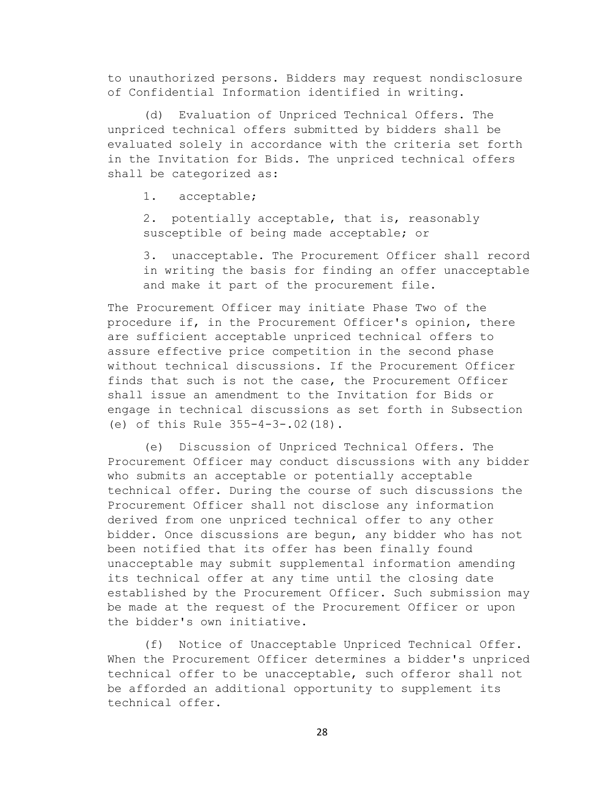to unauthorized persons. Bidders may request nondisclosure of Confidential Information identified in writing.

(d) Evaluation of Unpriced Technical Offers. The unpriced technical offers submitted by bidders shall be evaluated solely in accordance with the criteria set forth in the Invitation for Bids. The unpriced technical offers shall be categorized as:

1. acceptable;

2. potentially acceptable, that is, reasonably susceptible of being made acceptable; or

3. unacceptable. The Procurement Officer shall record in writing the basis for finding an offer unacceptable and make it part of the procurement file.

The Procurement Officer may initiate Phase Two of the procedure if, in the Procurement Officer's opinion, there are sufficient acceptable unpriced technical offers to assure effective price competition in the second phase without technical discussions. If the Procurement Officer finds that such is not the case, the Procurement Officer shall issue an amendment to the Invitation for Bids or engage in technical discussions as set forth in Subsection (e) of this Rule 355-4-3-.02(18).

(e) Discussion of Unpriced Technical Offers. The Procurement Officer may conduct discussions with any bidder who submits an acceptable or potentially acceptable technical offer. During the course of such discussions the Procurement Officer shall not disclose any information derived from one unpriced technical offer to any other bidder. Once discussions are begun, any bidder who has not been notified that its offer has been finally found unacceptable may submit supplemental information amending its technical offer at any time until the closing date established by the Procurement Officer. Such submission may be made at the request of the Procurement Officer or upon the bidder's own initiative.

(f) Notice of Unacceptable Unpriced Technical Offer. When the Procurement Officer determines a bidder's unpriced technical offer to be unacceptable, such offeror shall not be afforded an additional opportunity to supplement its technical offer.

28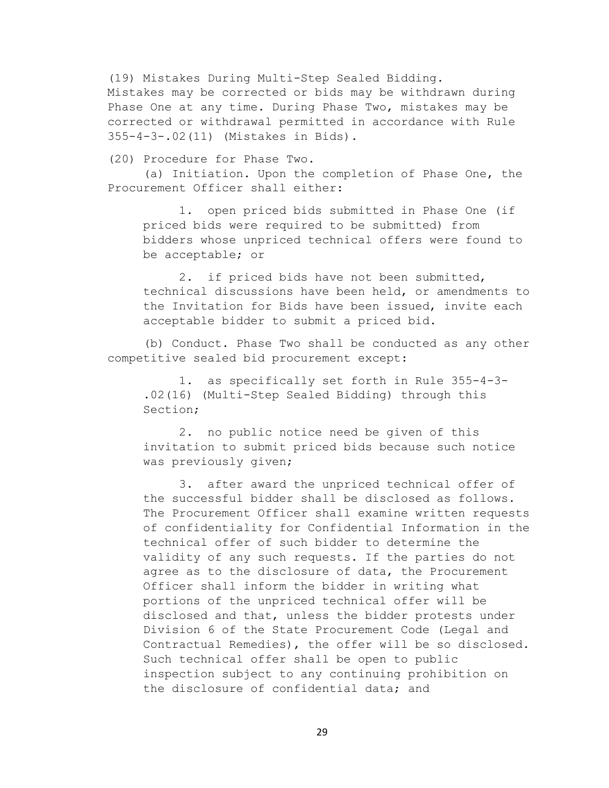(19) Mistakes During Multi-Step Sealed Bidding. Mistakes may be corrected or bids may be withdrawn during Phase One at any time. During Phase Two, mistakes may be corrected or withdrawal permitted in accordance with Rule 355-4-3-.02(11) (Mistakes in Bids).

(20) Procedure for Phase Two.

(a) Initiation. Upon the completion of Phase One, the Procurement Officer shall either:

1. open priced bids submitted in Phase One (if priced bids were required to be submitted) from bidders whose unpriced technical offers were found to be acceptable; or

2. if priced bids have not been submitted, technical discussions have been held, or amendments to the Invitation for Bids have been issued, invite each acceptable bidder to submit a priced bid.

(b) Conduct. Phase Two shall be conducted as any other competitive sealed bid procurement except:

1. as specifically set forth in Rule 355-4-3- .02(16) (Multi-Step Sealed Bidding) through this Section;

2. no public notice need be given of this invitation to submit priced bids because such notice was previously given;

3. after award the unpriced technical offer of the successful bidder shall be disclosed as follows. The Procurement Officer shall examine written requests of confidentiality for Confidential Information in the technical offer of such bidder to determine the validity of any such requests. If the parties do not agree as to the disclosure of data, the Procurement Officer shall inform the bidder in writing what portions of the unpriced technical offer will be disclosed and that, unless the bidder protests under Division 6 of the State Procurement Code (Legal and Contractual Remedies), the offer will be so disclosed. Such technical offer shall be open to public inspection subject to any continuing prohibition on the disclosure of confidential data; and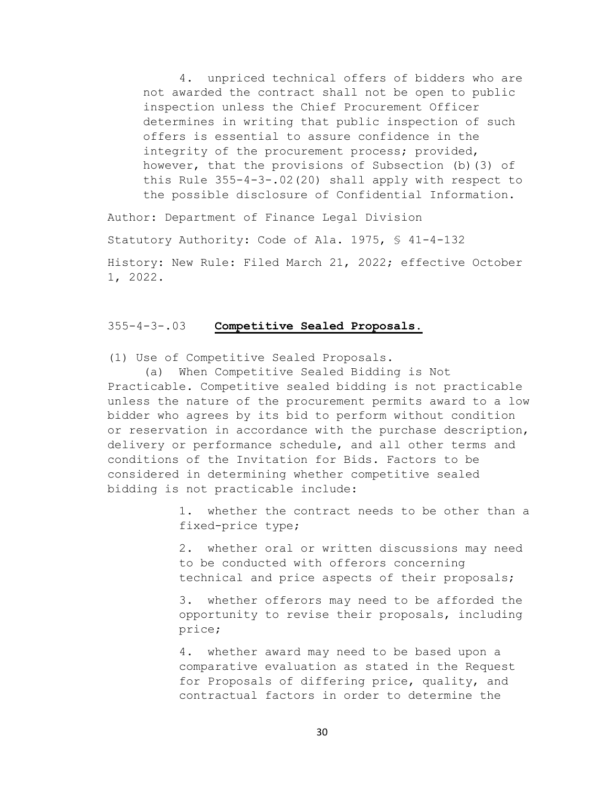4. unpriced technical offers of bidders who are not awarded the contract shall not be open to public inspection unless the Chief Procurement Officer determines in writing that public inspection of such offers is essential to assure confidence in the integrity of the procurement process; provided, however, that the provisions of Subsection (b)(3) of this Rule 355-4-3-.02(20) shall apply with respect to the possible disclosure of Confidential Information.

Author: Department of Finance Legal Division Statutory Authority: Code of Ala. 1975, § 41-4-132 History: New Rule: Filed March 21, 2022; effective October 1, 2022.

## 355-4-3-.03 **Competitive Sealed Proposals.**

(1) Use of Competitive Sealed Proposals.

(a) When Competitive Sealed Bidding is Not Practicable. Competitive sealed bidding is not practicable unless the nature of the procurement permits award to a low bidder who agrees by its bid to perform without condition or reservation in accordance with the purchase description, delivery or performance schedule, and all other terms and conditions of the Invitation for Bids. Factors to be considered in determining whether competitive sealed bidding is not practicable include:

> 1. whether the contract needs to be other than a fixed-price type;

2. whether oral or written discussions may need to be conducted with offerors concerning technical and price aspects of their proposals;

3. whether offerors may need to be afforded the opportunity to revise their proposals, including price;

4. whether award may need to be based upon a comparative evaluation as stated in the Request for Proposals of differing price, quality, and contractual factors in order to determine the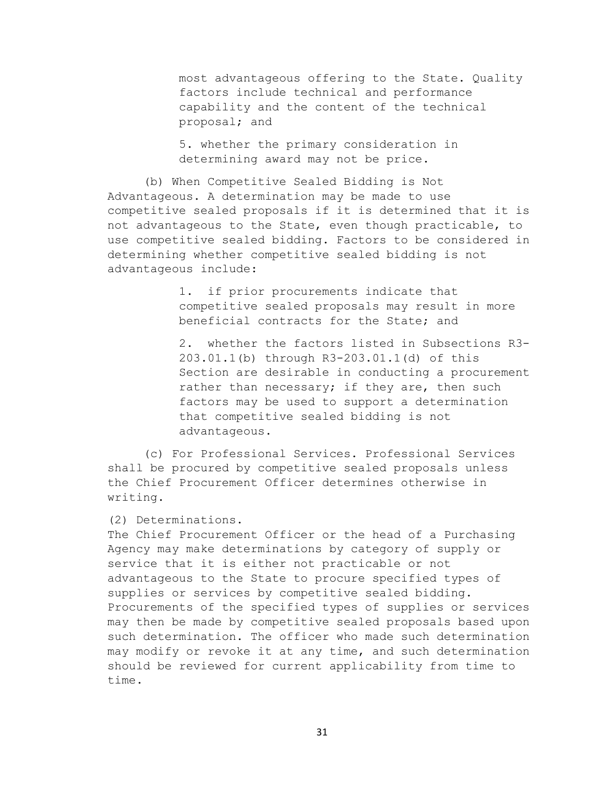most advantageous offering to the State. Quality factors include technical and performance capability and the content of the technical proposal; and

5. whether the primary consideration in determining award may not be price.

(b) When Competitive Sealed Bidding is Not Advantageous. A determination may be made to use competitive sealed proposals if it is determined that it is not advantageous to the State, even though practicable, to use competitive sealed bidding. Factors to be considered in determining whether competitive sealed bidding is not advantageous include:

> 1. if prior procurements indicate that competitive sealed proposals may result in more beneficial contracts for the State; and

2. whether the factors listed in Subsections R3- 203.01.1(b) through R3-203.01.1(d) of this Section are desirable in conducting a procurement rather than necessary; if they are, then such factors may be used to support a determination that competitive sealed bidding is not advantageous.

(c) For Professional Services. Professional Services shall be procured by competitive sealed proposals unless the Chief Procurement Officer determines otherwise in writing.

## (2) Determinations.

The Chief Procurement Officer or the head of a Purchasing Agency may make determinations by category of supply or service that it is either not practicable or not advantageous to the State to procure specified types of supplies or services by competitive sealed bidding. Procurements of the specified types of supplies or services may then be made by competitive sealed proposals based upon such determination. The officer who made such determination may modify or revoke it at any time, and such determination should be reviewed for current applicability from time to time.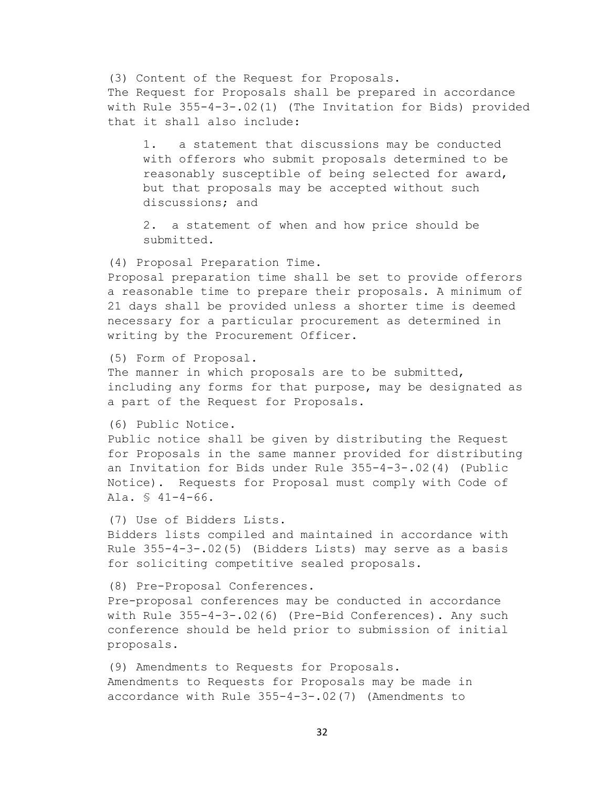(3) Content of the Request for Proposals. The Request for Proposals shall be prepared in accordance with Rule 355-4-3-.02(1) (The Invitation for Bids) provided that it shall also include:

1. a statement that discussions may be conducted with offerors who submit proposals determined to be reasonably susceptible of being selected for award, but that proposals may be accepted without such discussions; and

2. a statement of when and how price should be submitted.

(4) Proposal Preparation Time.

Proposal preparation time shall be set to provide offerors a reasonable time to prepare their proposals. A minimum of 21 days shall be provided unless a shorter time is deemed necessary for a particular procurement as determined in writing by the Procurement Officer.

(5) Form of Proposal.

The manner in which proposals are to be submitted, including any forms for that purpose, may be designated as a part of the Request for Proposals.

(6) Public Notice.

Public notice shall be given by distributing the Request for Proposals in the same manner provided for distributing an Invitation for Bids under Rule 355-4-3-.02(4) (Public Notice). Requests for Proposal must comply with Code of Ala. § 41-4-66.

(7) Use of Bidders Lists. Bidders lists compiled and maintained in accordance with Rule 355-4-3-.02(5) (Bidders Lists) may serve as a basis for soliciting competitive sealed proposals.

(8) Pre-Proposal Conferences. Pre-proposal conferences may be conducted in accordance with Rule 355-4-3-.02(6) (Pre-Bid Conferences). Any such conference should be held prior to submission of initial proposals.

(9) Amendments to Requests for Proposals. Amendments to Requests for Proposals may be made in accordance with Rule 355-4-3-.02(7) (Amendments to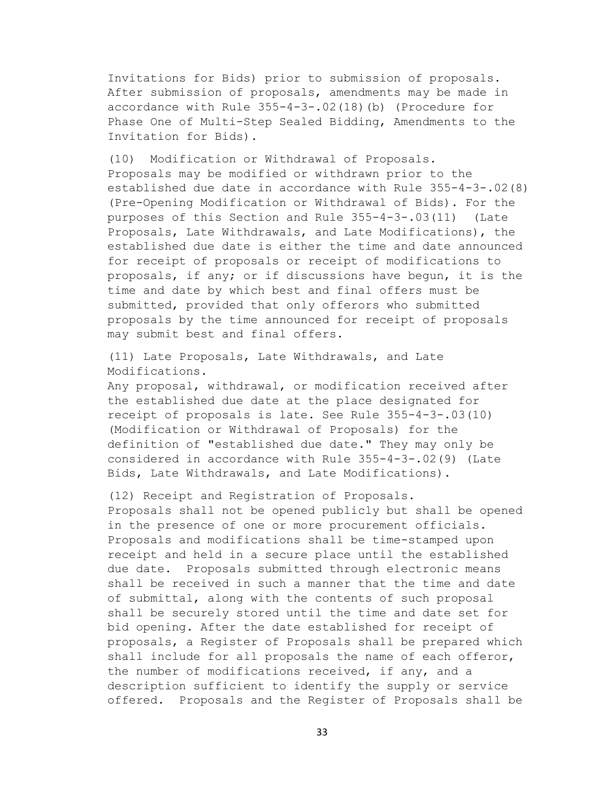Invitations for Bids) prior to submission of proposals. After submission of proposals, amendments may be made in accordance with Rule 355-4-3-.02(18)(b) (Procedure for Phase One of Multi-Step Sealed Bidding, Amendments to the Invitation for Bids).

(10) Modification or Withdrawal of Proposals. Proposals may be modified or withdrawn prior to the established due date in accordance with Rule 355-4-3-.02(8) (Pre-Opening Modification or Withdrawal of Bids). For the purposes of this Section and Rule 355-4-3-.03(11) (Late Proposals, Late Withdrawals, and Late Modifications), the established due date is either the time and date announced for receipt of proposals or receipt of modifications to proposals, if any; or if discussions have begun, it is the time and date by which best and final offers must be submitted, provided that only offerors who submitted proposals by the time announced for receipt of proposals may submit best and final offers.

(11) Late Proposals, Late Withdrawals, and Late Modifications.

Any proposal, withdrawal, or modification received after the established due date at the place designated for receipt of proposals is late. See Rule 355-4-3-.03(10) (Modification or Withdrawal of Proposals) for the definition of "established due date." They may only be considered in accordance with Rule 355-4-3-.02(9) (Late Bids, Late Withdrawals, and Late Modifications).

(12) Receipt and Registration of Proposals. Proposals shall not be opened publicly but shall be opened in the presence of one or more procurement officials. Proposals and modifications shall be time-stamped upon receipt and held in a secure place until the established due date. Proposals submitted through electronic means shall be received in such a manner that the time and date of submittal, along with the contents of such proposal shall be securely stored until the time and date set for bid opening. After the date established for receipt of proposals, a Register of Proposals shall be prepared which shall include for all proposals the name of each offeror, the number of modifications received, if any, and a description sufficient to identify the supply or service offered. Proposals and the Register of Proposals shall be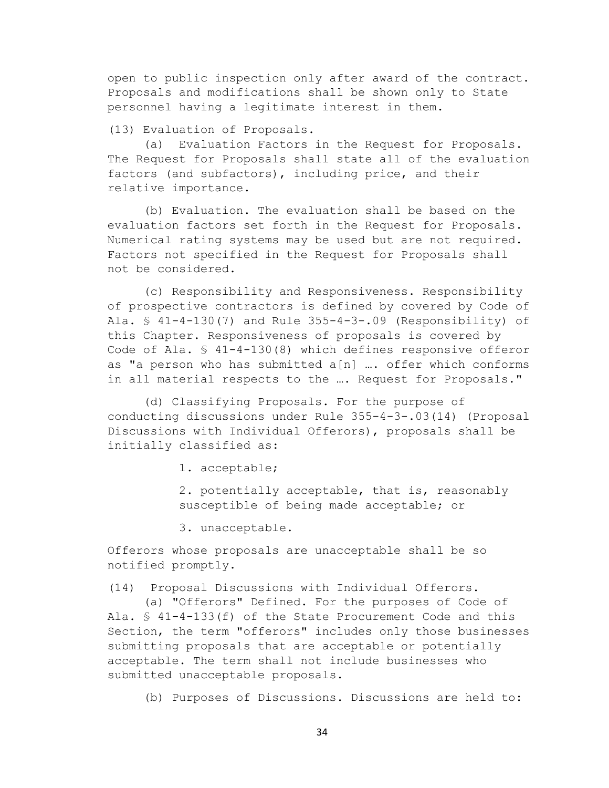open to public inspection only after award of the contract. Proposals and modifications shall be shown only to State personnel having a legitimate interest in them.

(13) Evaluation of Proposals.

(a) Evaluation Factors in the Request for Proposals. The Request for Proposals shall state all of the evaluation factors (and subfactors), including price, and their relative importance.

(b) Evaluation. The evaluation shall be based on the evaluation factors set forth in the Request for Proposals. Numerical rating systems may be used but are not required. Factors not specified in the Request for Proposals shall not be considered.

(c) Responsibility and Responsiveness. Responsibility of prospective contractors is defined by covered by Code of Ala. § 41-4-130(7) and Rule 355-4-3-.09 (Responsibility) of this Chapter. Responsiveness of proposals is covered by Code of Ala. § 41-4-130(8) which defines responsive offeror as "a person who has submitted a[n] …. offer which conforms in all material respects to the ... Request for Proposals."

(d) Classifying Proposals. For the purpose of conducting discussions under Rule 355-4-3-.03(14) (Proposal Discussions with Individual Offerors), proposals shall be initially classified as:

1. acceptable;

2. potentially acceptable, that is, reasonably susceptible of being made acceptable; or

3. unacceptable.

Offerors whose proposals are unacceptable shall be so notified promptly.

(14) Proposal Discussions with Individual Offerors.

(a) "Offerors" Defined. For the purposes of Code of Ala. § 41-4-133(f) of the State Procurement Code and this Section, the term "offerors" includes only those businesses submitting proposals that are acceptable or potentially acceptable. The term shall not include businesses who submitted unacceptable proposals.

(b) Purposes of Discussions. Discussions are held to: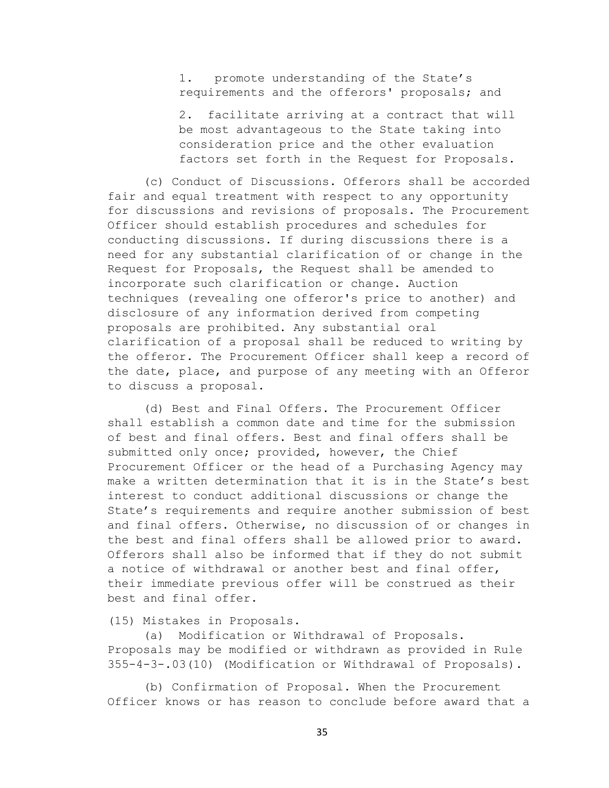1. promote understanding of the State's requirements and the offerors' proposals; and

2. facilitate arriving at a contract that will be most advantageous to the State taking into consideration price and the other evaluation factors set forth in the Request for Proposals.

(c) Conduct of Discussions. Offerors shall be accorded fair and equal treatment with respect to any opportunity for discussions and revisions of proposals. The Procurement Officer should establish procedures and schedules for conducting discussions. If during discussions there is a need for any substantial clarification of or change in the Request for Proposals, the Request shall be amended to incorporate such clarification or change. Auction techniques (revealing one offeror's price to another) and disclosure of any information derived from competing proposals are prohibited. Any substantial oral clarification of a proposal shall be reduced to writing by the offeror. The Procurement Officer shall keep a record of the date, place, and purpose of any meeting with an Offeror to discuss a proposal.

(d) Best and Final Offers. The Procurement Officer shall establish a common date and time for the submission of best and final offers. Best and final offers shall be submitted only once; provided, however, the Chief Procurement Officer or the head of a Purchasing Agency may make a written determination that it is in the State's best interest to conduct additional discussions or change the State's requirements and require another submission of best and final offers. Otherwise, no discussion of or changes in the best and final offers shall be allowed prior to award. Offerors shall also be informed that if they do not submit a notice of withdrawal or another best and final offer, their immediate previous offer will be construed as their best and final offer.

## (15) Mistakes in Proposals.

(a) Modification or Withdrawal of Proposals. Proposals may be modified or withdrawn as provided in Rule 355-4-3-.03(10) (Modification or Withdrawal of Proposals).

(b) Confirmation of Proposal. When the Procurement Officer knows or has reason to conclude before award that a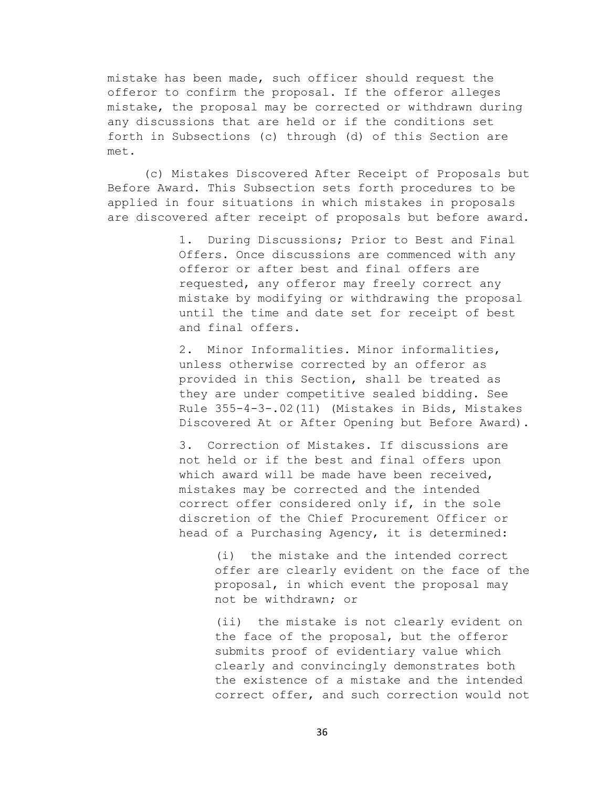mistake has been made, such officer should request the offeror to confirm the proposal. If the offeror alleges mistake, the proposal may be corrected or withdrawn during any discussions that are held or if the conditions set forth in Subsections (c) through (d) of this Section are met.

(c) Mistakes Discovered After Receipt of Proposals but Before Award. This Subsection sets forth procedures to be applied in four situations in which mistakes in proposals are discovered after receipt of proposals but before award.

> 1. During Discussions; Prior to Best and Final Offers. Once discussions are commenced with any offeror or after best and final offers are requested, any offeror may freely correct any mistake by modifying or withdrawing the proposal until the time and date set for receipt of best and final offers.

2. Minor Informalities. Minor informalities, unless otherwise corrected by an offeror as provided in this Section, shall be treated as they are under competitive sealed bidding. See Rule 355-4-3-.02(11) (Mistakes in Bids, Mistakes Discovered At or After Opening but Before Award).

3. Correction of Mistakes. If discussions are not held or if the best and final offers upon which award will be made have been received, mistakes may be corrected and the intended correct offer considered only if, in the sole discretion of the Chief Procurement Officer or head of a Purchasing Agency, it is determined:

> (i) the mistake and the intended correct offer are clearly evident on the face of the proposal, in which event the proposal may not be withdrawn; or

> (ii) the mistake is not clearly evident on the face of the proposal, but the offeror submits proof of evidentiary value which clearly and convincingly demonstrates both the existence of a mistake and the intended correct offer, and such correction would not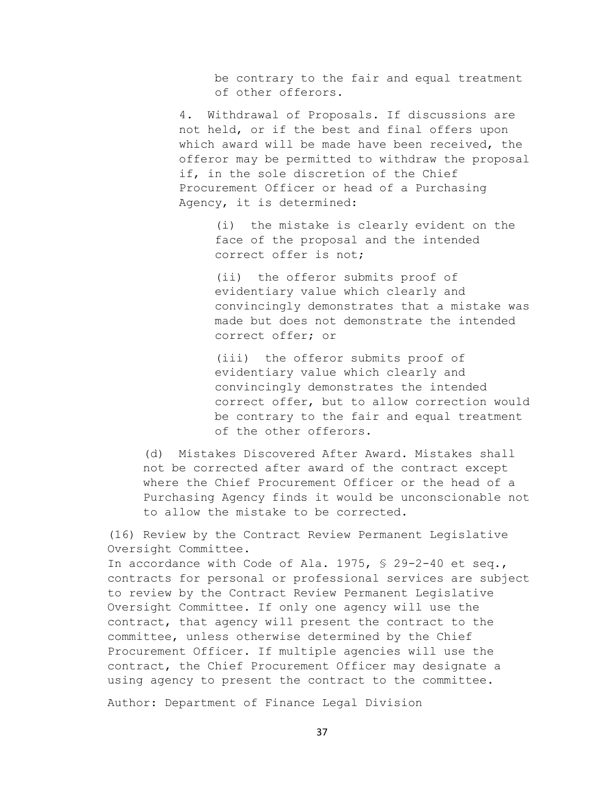be contrary to the fair and equal treatment of other offerors.

4. Withdrawal of Proposals. If discussions are not held, or if the best and final offers upon which award will be made have been received, the offeror may be permitted to withdraw the proposal if, in the sole discretion of the Chief Procurement Officer or head of a Purchasing Agency, it is determined:

> (i) the mistake is clearly evident on the face of the proposal and the intended correct offer is not;

(ii) the offeror submits proof of evidentiary value which clearly and convincingly demonstrates that a mistake was made but does not demonstrate the intended correct offer; or

(iii) the offeror submits proof of evidentiary value which clearly and convincingly demonstrates the intended correct offer, but to allow correction would be contrary to the fair and equal treatment of the other offerors.

(d) Mistakes Discovered After Award. Mistakes shall not be corrected after award of the contract except where the Chief Procurement Officer or the head of a Purchasing Agency finds it would be unconscionable not to allow the mistake to be corrected.

(16) Review by the Contract Review Permanent Legislative Oversight Committee.

In accordance with Code of Ala. 1975, § 29-2-40 et seq., contracts for personal or professional services are subject to review by the Contract Review Permanent Legislative Oversight Committee. If only one agency will use the contract, that agency will present the contract to the committee, unless otherwise determined by the Chief Procurement Officer. If multiple agencies will use the contract, the Chief Procurement Officer may designate a using agency to present the contract to the committee.

Author: Department of Finance Legal Division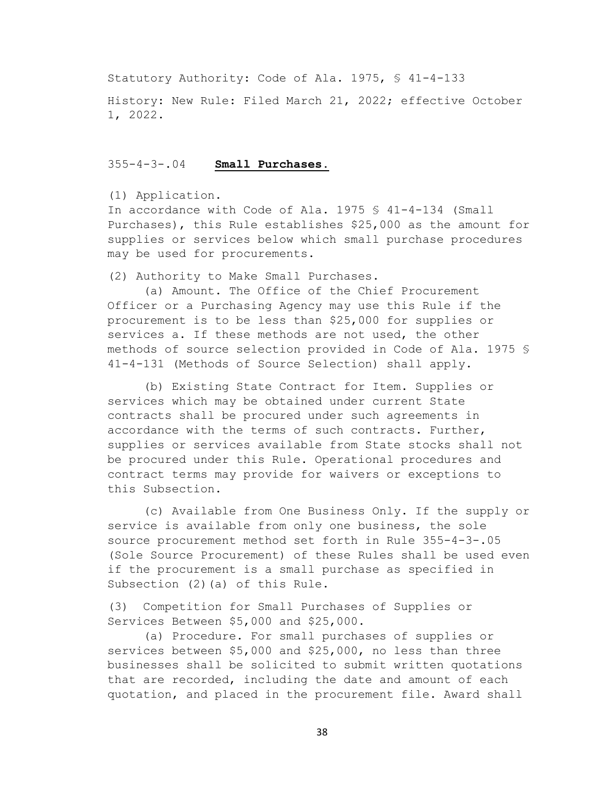Statutory Authority: Code of Ala. 1975, § 41-4-133

History: New Rule: Filed March 21, 2022; effective October 1, 2022.

## 355-4-3-.04 **Small Purchases.**

#### (1) Application.

In accordance with Code of Ala. 1975 § 41-4-134 (Small Purchases), this Rule establishes \$25,000 as the amount for supplies or services below which small purchase procedures may be used for procurements.

(2) Authority to Make Small Purchases.

(a) Amount. The Office of the Chief Procurement Officer or a Purchasing Agency may use this Rule if the procurement is to be less than \$25,000 for supplies or services a. If these methods are not used, the other methods of source selection provided in Code of Ala. 1975 § 41-4-131 (Methods of Source Selection) shall apply.

(b) Existing State Contract for Item. Supplies or services which may be obtained under current State contracts shall be procured under such agreements in accordance with the terms of such contracts. Further, supplies or services available from State stocks shall not be procured under this Rule. Operational procedures and contract terms may provide for waivers or exceptions to this Subsection.

(c) Available from One Business Only. If the supply or service is available from only one business, the sole source procurement method set forth in Rule 355-4-3-.05 (Sole Source Procurement) of these Rules shall be used even if the procurement is a small purchase as specified in Subsection (2) (a) of this Rule.

(3) Competition for Small Purchases of Supplies or Services Between \$5,000 and \$25,000.

(a) Procedure. For small purchases of supplies or services between \$5,000 and \$25,000, no less than three businesses shall be solicited to submit written quotations that are recorded, including the date and amount of each quotation, and placed in the procurement file. Award shall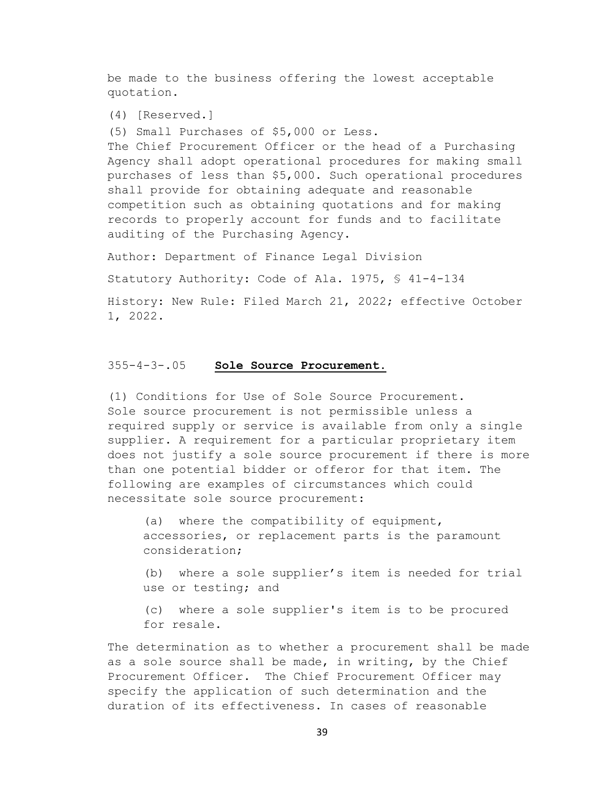be made to the business offering the lowest acceptable quotation.

(4) [Reserved.]

(5) Small Purchases of \$5,000 or Less.

The Chief Procurement Officer or the head of a Purchasing Agency shall adopt operational procedures for making small purchases of less than \$5,000. Such operational procedures shall provide for obtaining adequate and reasonable competition such as obtaining quotations and for making records to properly account for funds and to facilitate auditing of the Purchasing Agency.

Author: Department of Finance Legal Division

Statutory Authority: Code of Ala. 1975, § 41-4-134

History: New Rule: Filed March 21, 2022; effective October 1, 2022.

#### 355-4-3-.05 **Sole Source Procurement.**

(1) Conditions for Use of Sole Source Procurement. Sole source procurement is not permissible unless a required supply or service is available from only a single supplier. A requirement for a particular proprietary item does not justify a sole source procurement if there is more than one potential bidder or offeror for that item. The following are examples of circumstances which could necessitate sole source procurement:

(a) where the compatibility of equipment, accessories, or replacement parts is the paramount consideration;

(b) where a sole supplier's item is needed for trial use or testing; and

(c) where a sole supplier's item is to be procured for resale.

The determination as to whether a procurement shall be made as a sole source shall be made, in writing, by the Chief Procurement Officer. The Chief Procurement Officer may specify the application of such determination and the duration of its effectiveness. In cases of reasonable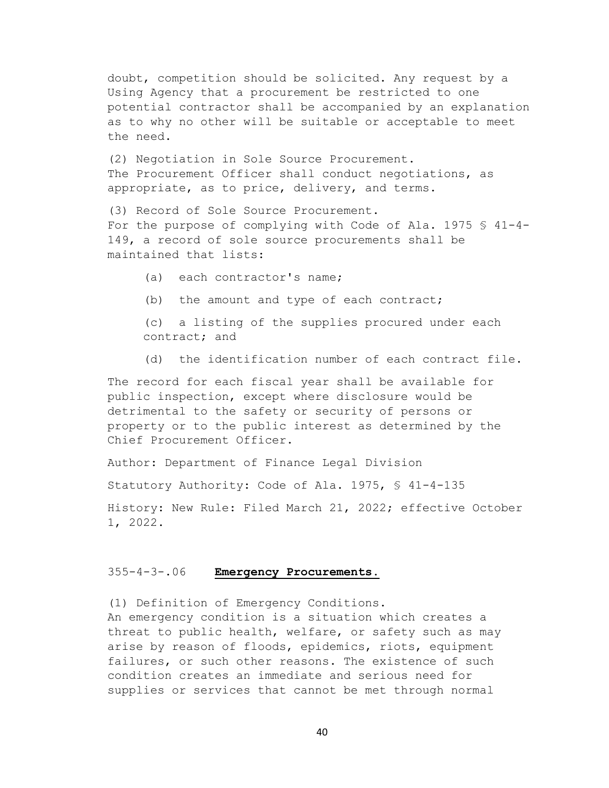doubt, competition should be solicited. Any request by a Using Agency that a procurement be restricted to one potential contractor shall be accompanied by an explanation as to why no other will be suitable or acceptable to meet the need.

(2) Negotiation in Sole Source Procurement. The Procurement Officer shall conduct negotiations, as appropriate, as to price, delivery, and terms.

(3) Record of Sole Source Procurement. For the purpose of complying with Code of Ala. 1975 § 41-4- 149, a record of sole source procurements shall be maintained that lists:

(a) each contractor's name;

(b) the amount and type of each contract;

(c) a listing of the supplies procured under each contract; and

(d) the identification number of each contract file.

The record for each fiscal year shall be available for public inspection, except where disclosure would be detrimental to the safety or security of persons or property or to the public interest as determined by the Chief Procurement Officer.

Author: Department of Finance Legal Division

Statutory Authority: Code of Ala. 1975, § 41-4-135

History: New Rule: Filed March 21, 2022; effective October 1, 2022.

## 355-4-3-.06 **Emergency Procurements.**

(1) Definition of Emergency Conditions. An emergency condition is a situation which creates a

threat to public health, welfare, or safety such as may arise by reason of floods, epidemics, riots, equipment failures, or such other reasons. The existence of such condition creates an immediate and serious need for supplies or services that cannot be met through normal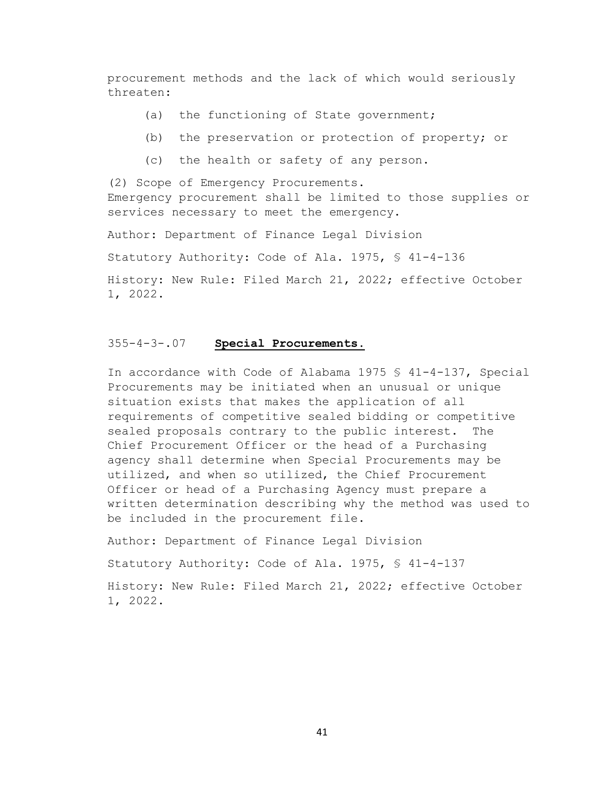procurement methods and the lack of which would seriously threaten:

- (a) the functioning of State government;
- (b) the preservation or protection of property; or
- (c) the health or safety of any person.

(2) Scope of Emergency Procurements. Emergency procurement shall be limited to those supplies or services necessary to meet the emergency.

Author: Department of Finance Legal Division

Statutory Authority: Code of Ala. 1975, § 41-4-136

History: New Rule: Filed March 21, 2022; effective October 1, 2022.

## 355-4-3-.07 **Special Procurements.**

In accordance with Code of Alabama 1975 § 41-4-137, Special Procurements may be initiated when an unusual or unique situation exists that makes the application of all requirements of competitive sealed bidding or competitive sealed proposals contrary to the public interest. The Chief Procurement Officer or the head of a Purchasing agency shall determine when Special Procurements may be utilized, and when so utilized, the Chief Procurement Officer or head of a Purchasing Agency must prepare a written determination describing why the method was used to be included in the procurement file.

Author: Department of Finance Legal Division

Statutory Authority: Code of Ala. 1975, § 41-4-137

History: New Rule: Filed March 21, 2022; effective October 1, 2022.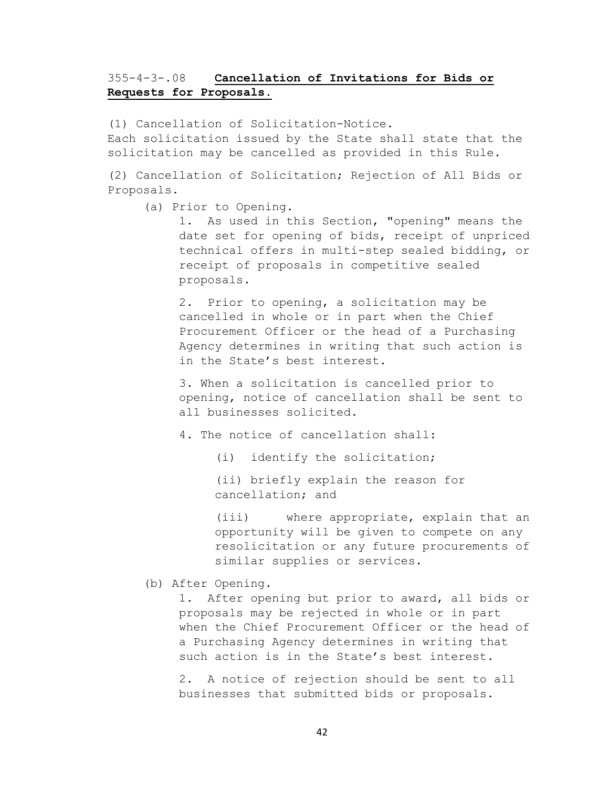# 355-4-3-.08 **Cancellation of Invitations for Bids or Requests for Proposals.**

(1) Cancellation of Solicitation-Notice. Each solicitation issued by the State shall state that the solicitation may be cancelled as provided in this Rule.

(2) Cancellation of Solicitation; Rejection of All Bids or Proposals.

(a) Prior to Opening.

1. As used in this Section, "opening" means the date set for opening of bids, receipt of unpriced technical offers in multi-step sealed bidding, or receipt of proposals in competitive sealed proposals.

2. Prior to opening, a solicitation may be cancelled in whole or in part when the Chief Procurement Officer or the head of a Purchasing Agency determines in writing that such action is in the State's best interest.

3. When a solicitation is cancelled prior to opening, notice of cancellation shall be sent to all businesses solicited.

4. The notice of cancellation shall:

(i) identify the solicitation;

(ii) briefly explain the reason for cancellation; and

(iii) where appropriate, explain that an opportunity will be given to compete on any resolicitation or any future procurements of similar supplies or services.

(b) After Opening.

1. After opening but prior to award, all bids or proposals may be rejected in whole or in part when the Chief Procurement Officer or the head of a Purchasing Agency determines in writing that such action is in the State's best interest.

2. A notice of rejection should be sent to all businesses that submitted bids or proposals.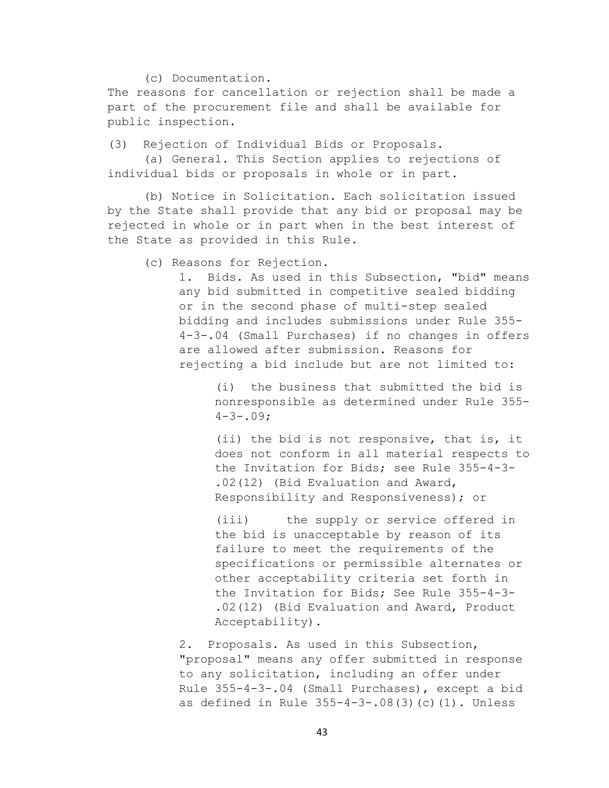(c) Documentation.

The reasons for cancellation or rejection shall be made a part of the procurement file and shall be available for public inspection.

(3) Rejection of Individual Bids or Proposals.

(a) General. This Section applies to rejections of individual bids or proposals in whole or in part.

(b) Notice in Solicitation. Each solicitation issued by the State shall provide that any bid or proposal may be rejected in whole or in part when in the best interest of the State as provided in this Rule.

(c) Reasons for Rejection.

1. Bids. As used in this Subsection, "bid" means any bid submitted in competitive sealed bidding or in the second phase of multi-step sealed bidding and includes submissions under Rule 355- 4-3-.04 (Small Purchases) if no changes in offers are allowed after submission. Reasons for rejecting a bid include but are not limited to:

> (i) the business that submitted the bid is nonresponsible as determined under Rule 355-  $4 - 3 - .09;$

> (ii) the bid is not responsive, that is, it does not conform in all material respects to the Invitation for Bids; see Rule 355-4-3- .02(12) (Bid Evaluation and Award, Responsibility and Responsiveness); or

(iii) the supply or service offered in the bid is unacceptable by reason of its failure to meet the requirements of the specifications or permissible alternates or other acceptability criteria set forth in the Invitation for Bids; See Rule 355-4-3- .02(12) (Bid Evaluation and Award, Product Acceptability).

2. Proposals. As used in this Subsection, "proposal" means any offer submitted in response to any solicitation, including an offer under Rule 355-4-3-.04 (Small Purchases), except a bid as defined in Rule 355-4-3-.08(3)(c)(1). Unless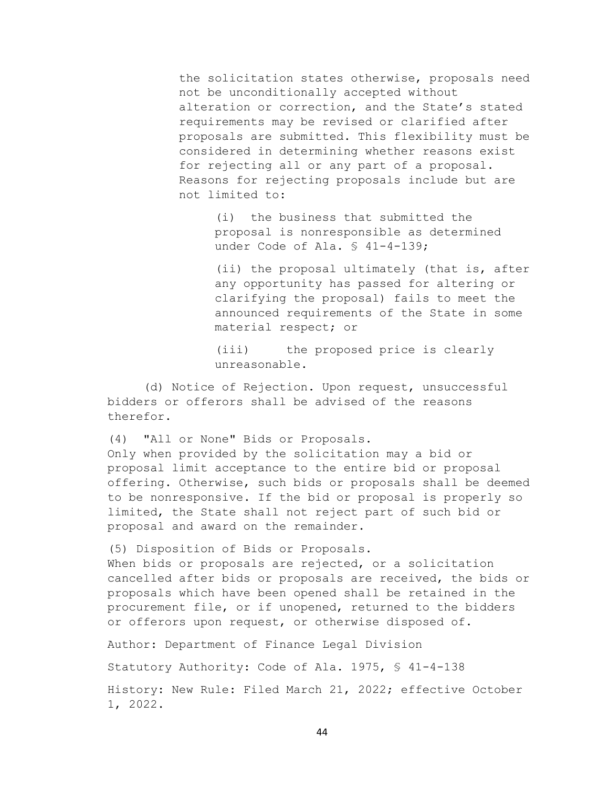the solicitation states otherwise, proposals need not be unconditionally accepted without alteration or correction, and the State's stated requirements may be revised or clarified after proposals are submitted. This flexibility must be considered in determining whether reasons exist for rejecting all or any part of a proposal. Reasons for rejecting proposals include but are not limited to:

(i) the business that submitted the proposal is nonresponsible as determined under Code of Ala. § 41-4-139;

(ii) the proposal ultimately (that is, after any opportunity has passed for altering or clarifying the proposal) fails to meet the announced requirements of the State in some material respect; or

(iii) the proposed price is clearly unreasonable.

(d) Notice of Rejection. Upon request, unsuccessful bidders or offerors shall be advised of the reasons therefor.

(4) "All or None" Bids or Proposals.

Only when provided by the solicitation may a bid or proposal limit acceptance to the entire bid or proposal offering. Otherwise, such bids or proposals shall be deemed to be nonresponsive. If the bid or proposal is properly so limited, the State shall not reject part of such bid or proposal and award on the remainder.

(5) Disposition of Bids or Proposals.

When bids or proposals are rejected, or a solicitation cancelled after bids or proposals are received, the bids or proposals which have been opened shall be retained in the procurement file, or if unopened, returned to the bidders or offerors upon request, or otherwise disposed of.

Author: Department of Finance Legal Division

Statutory Authority: Code of Ala. 1975, § 41-4-138

History: New Rule: Filed March 21, 2022; effective October 1, 2022.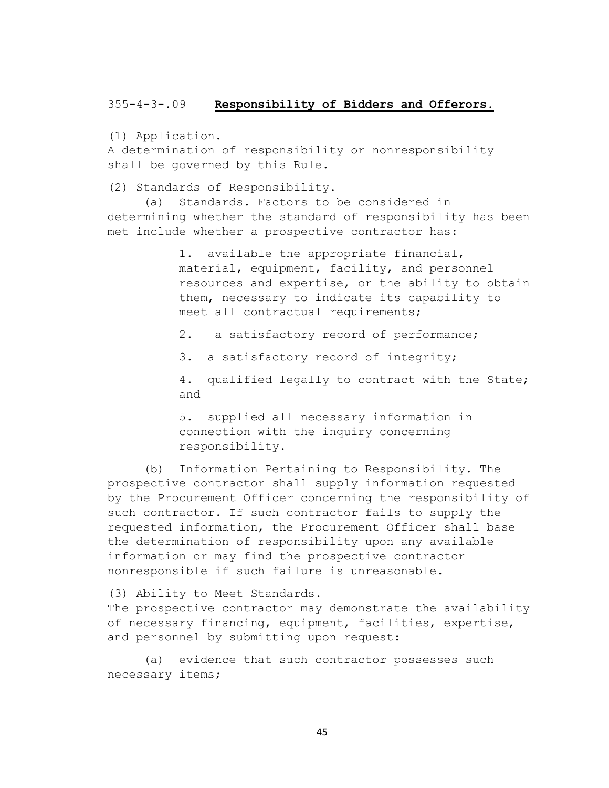#### 355-4-3-.09 **Responsibility of Bidders and Offerors.**

(1) Application.

A determination of responsibility or nonresponsibility shall be governed by this Rule.

(2) Standards of Responsibility.

(a) Standards. Factors to be considered in determining whether the standard of responsibility has been met include whether a prospective contractor has:

> 1. available the appropriate financial, material, equipment, facility, and personnel resources and expertise, or the ability to obtain them, necessary to indicate its capability to meet all contractual requirements;

2. a satisfactory record of performance;

3. a satisfactory record of integrity;

4. qualified legally to contract with the State; and

5. supplied all necessary information in connection with the inquiry concerning responsibility.

(b) Information Pertaining to Responsibility. The prospective contractor shall supply information requested by the Procurement Officer concerning the responsibility of such contractor. If such contractor fails to supply the requested information, the Procurement Officer shall base the determination of responsibility upon any available information or may find the prospective contractor nonresponsible if such failure is unreasonable.

(3) Ability to Meet Standards.

The prospective contractor may demonstrate the availability of necessary financing, equipment, facilities, expertise, and personnel by submitting upon request:

(a) evidence that such contractor possesses such necessary items;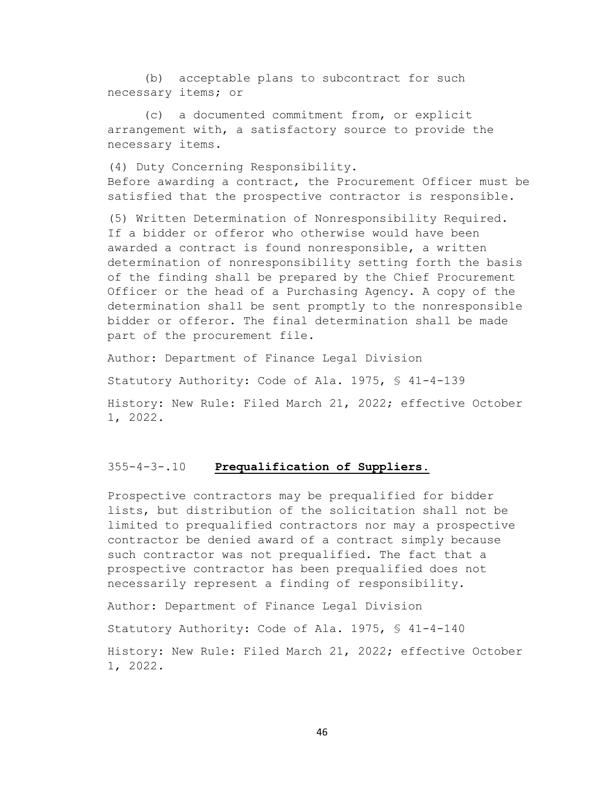(b) acceptable plans to subcontract for such necessary items; or

(c) a documented commitment from, or explicit arrangement with, a satisfactory source to provide the necessary items.

(4) Duty Concerning Responsibility. Before awarding a contract, the Procurement Officer must be satisfied that the prospective contractor is responsible.

(5) Written Determination of Nonresponsibility Required. If a bidder or offeror who otherwise would have been awarded a contract is found nonresponsible, a written determination of nonresponsibility setting forth the basis of the finding shall be prepared by the Chief Procurement Officer or the head of a Purchasing Agency. A copy of the determination shall be sent promptly to the nonresponsible bidder or offeror. The final determination shall be made part of the procurement file.

Author: Department of Finance Legal Division

Statutory Authority: Code of Ala. 1975, § 41-4-139

History: New Rule: Filed March 21, 2022; effective October 1, 2022.

## 355-4-3-.10 **Prequalification of Suppliers.**

Prospective contractors may be prequalified for bidder lists, but distribution of the solicitation shall not be limited to prequalified contractors nor may a prospective contractor be denied award of a contract simply because such contractor was not prequalified. The fact that a prospective contractor has been prequalified does not necessarily represent a finding of responsibility.

Author: Department of Finance Legal Division

Statutory Authority: Code of Ala. 1975, § 41-4-140

History: New Rule: Filed March 21, 2022; effective October 1, 2022.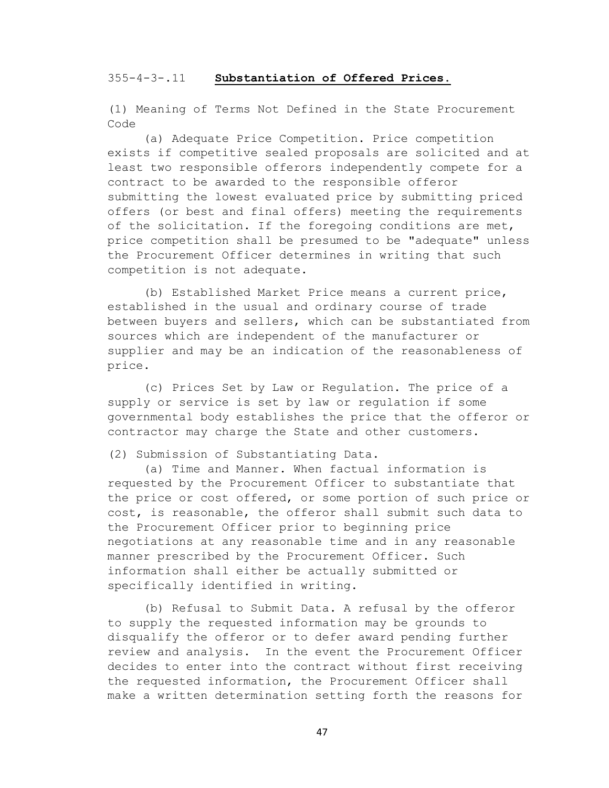#### 355-4-3-.11 **Substantiation of Offered Prices.**

(1) Meaning of Terms Not Defined in the State Procurement Code

(a) Adequate Price Competition. Price competition exists if competitive sealed proposals are solicited and at least two responsible offerors independently compete for a contract to be awarded to the responsible offeror submitting the lowest evaluated price by submitting priced offers (or best and final offers) meeting the requirements of the solicitation. If the foregoing conditions are met, price competition shall be presumed to be "adequate" unless the Procurement Officer determines in writing that such competition is not adequate.

(b) Established Market Price means a current price, established in the usual and ordinary course of trade between buyers and sellers, which can be substantiated from sources which are independent of the manufacturer or supplier and may be an indication of the reasonableness of price.

(c) Prices Set by Law or Regulation. The price of a supply or service is set by law or regulation if some governmental body establishes the price that the offeror or contractor may charge the State and other customers.

(2) Submission of Substantiating Data.

(a) Time and Manner. When factual information is requested by the Procurement Officer to substantiate that the price or cost offered, or some portion of such price or cost, is reasonable, the offeror shall submit such data to the Procurement Officer prior to beginning price negotiations at any reasonable time and in any reasonable manner prescribed by the Procurement Officer. Such information shall either be actually submitted or specifically identified in writing.

(b) Refusal to Submit Data. A refusal by the offeror to supply the requested information may be grounds to disqualify the offeror or to defer award pending further review and analysis. In the event the Procurement Officer decides to enter into the contract without first receiving the requested information, the Procurement Officer shall make a written determination setting forth the reasons for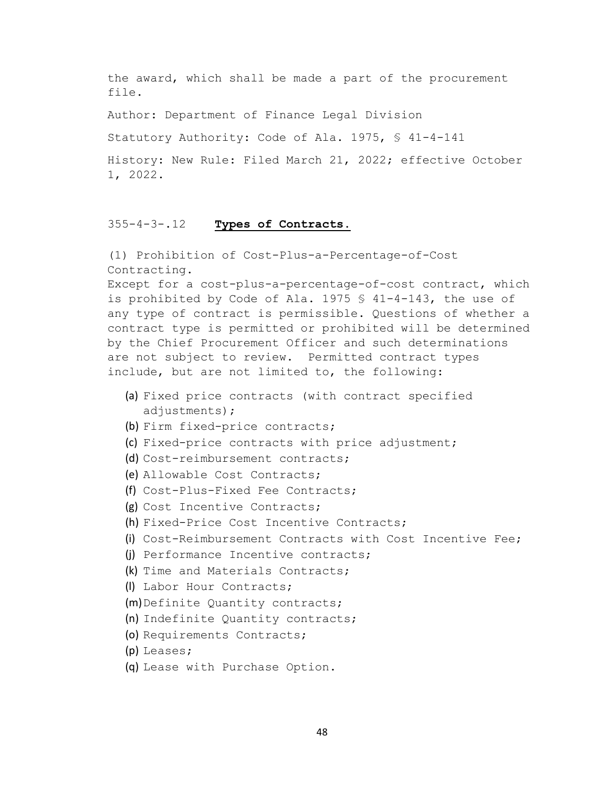the award, which shall be made a part of the procurement file.

Author: Department of Finance Legal Division

Statutory Authority: Code of Ala. 1975, § 41-4-141

History: New Rule: Filed March 21, 2022; effective October 1, 2022.

# 355-4-3-.12 **Types of Contracts.**

(1) Prohibition of Cost-Plus-a-Percentage-of-Cost Contracting.

Except for a cost-plus-a-percentage-of-cost contract, which is prohibited by Code of Ala. 1975 § 41-4-143, the use of any type of contract is permissible. Questions of whether a contract type is permitted or prohibited will be determined by the Chief Procurement Officer and such determinations are not subject to review. Permitted contract types include, but are not limited to, the following:

- (a) Fixed price contracts (with contract specified adjustments);
- (b) Firm fixed-price contracts;
- (c) Fixed-price contracts with price adjustment;
- (d) Cost-reimbursement contracts;
- (e) Allowable Cost Contracts;
- (f) Cost-Plus-Fixed Fee Contracts;
- (g) Cost Incentive Contracts;
- (h) Fixed-Price Cost Incentive Contracts;
- (i) Cost-Reimbursement Contracts with Cost Incentive Fee;
- (j) Performance Incentive contracts;
- (k) Time and Materials Contracts;
- (l) Labor Hour Contracts;
- (m)Definite Quantity contracts;
- (n) Indefinite Quantity contracts;
- (o) Requirements Contracts;
- (p) Leases;
- (q) Lease with Purchase Option.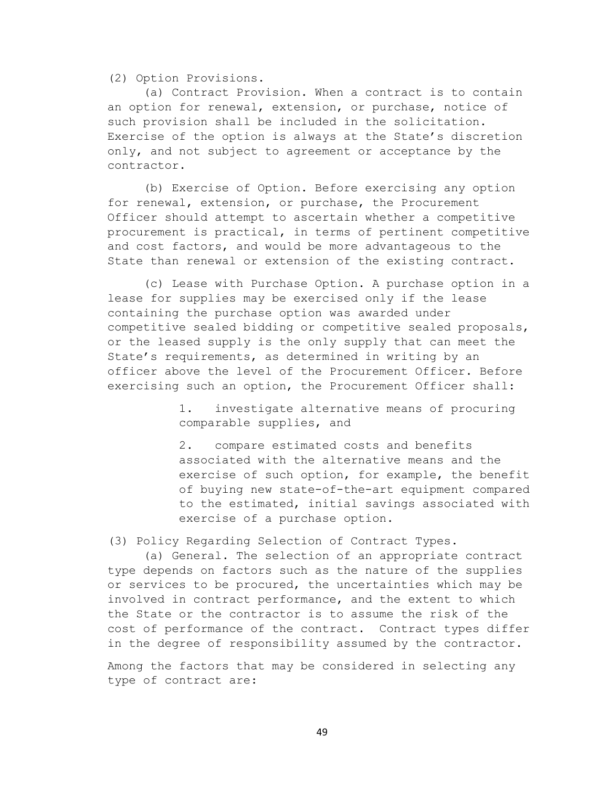(2) Option Provisions.

(a) Contract Provision. When a contract is to contain an option for renewal, extension, or purchase, notice of such provision shall be included in the solicitation. Exercise of the option is always at the State's discretion only, and not subject to agreement or acceptance by the contractor.

(b) Exercise of Option. Before exercising any option for renewal, extension, or purchase, the Procurement Officer should attempt to ascertain whether a competitive procurement is practical, in terms of pertinent competitive and cost factors, and would be more advantageous to the State than renewal or extension of the existing contract.

(c) Lease with Purchase Option. A purchase option in a lease for supplies may be exercised only if the lease containing the purchase option was awarded under competitive sealed bidding or competitive sealed proposals, or the leased supply is the only supply that can meet the State's requirements, as determined in writing by an officer above the level of the Procurement Officer. Before exercising such an option, the Procurement Officer shall:

> 1. investigate alternative means of procuring comparable supplies, and

2. compare estimated costs and benefits associated with the alternative means and the exercise of such option, for example, the benefit of buying new state-of-the-art equipment compared to the estimated, initial savings associated with exercise of a purchase option.

(3) Policy Regarding Selection of Contract Types.

(a) General. The selection of an appropriate contract type depends on factors such as the nature of the supplies or services to be procured, the uncertainties which may be involved in contract performance, and the extent to which the State or the contractor is to assume the risk of the cost of performance of the contract. Contract types differ in the degree of responsibility assumed by the contractor.

Among the factors that may be considered in selecting any type of contract are: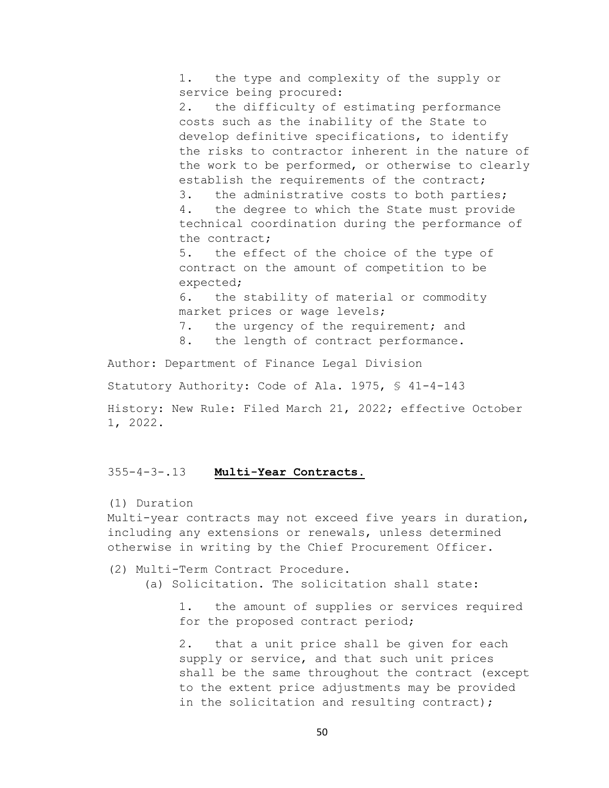1. the type and complexity of the supply or service being procured:

2. the difficulty of estimating performance costs such as the inability of the State to develop definitive specifications, to identify the risks to contractor inherent in the nature of the work to be performed, or otherwise to clearly establish the requirements of the contract;

3. the administrative costs to both parties; 4. the degree to which the State must provide technical coordination during the performance of the contract;

5. the effect of the choice of the type of contract on the amount of competition to be expected;

6. the stability of material or commodity market prices or wage levels;

- 7. the urgency of the requirement; and<br>8. the length of contract performance.
- the length of contract performance.

Author: Department of Finance Legal Division

Statutory Authority: Code of Ala. 1975, § 41-4-143

History: New Rule: Filed March 21, 2022; effective October 1, 2022.

# 355-4-3-.13 **Multi-Year Contracts.**

(1) Duration

Multi-year contracts may not exceed five years in duration, including any extensions or renewals, unless determined otherwise in writing by the Chief Procurement Officer.

- (2) Multi-Term Contract Procedure.
	- (a) Solicitation. The solicitation shall state:

1. the amount of supplies or services required for the proposed contract period;

2. that a unit price shall be given for each supply or service, and that such unit prices shall be the same throughout the contract (except to the extent price adjustments may be provided in the solicitation and resulting contract);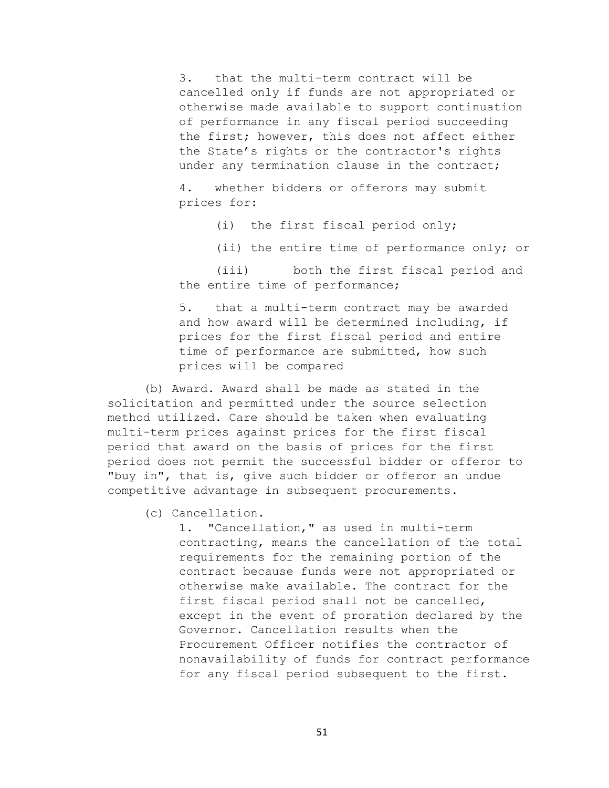3. that the multi-term contract will be cancelled only if funds are not appropriated or otherwise made available to support continuation of performance in any fiscal period succeeding the first; however, this does not affect either the State's rights or the contractor's rights under any termination clause in the contract;

4. whether bidders or offerors may submit prices for:

(i) the first fiscal period only;

(ii) the entire time of performance only; or

(iii) both the first fiscal period and the entire time of performance;

5. that a multi-term contract may be awarded and how award will be determined including, if prices for the first fiscal period and entire time of performance are submitted, how such prices will be compared

(b) Award. Award shall be made as stated in the solicitation and permitted under the source selection method utilized. Care should be taken when evaluating multi-term prices against prices for the first fiscal period that award on the basis of prices for the first period does not permit the successful bidder or offeror to "buy in", that is, give such bidder or offeror an undue competitive advantage in subsequent procurements.

(c) Cancellation.

1. "Cancellation," as used in multi-term contracting, means the cancellation of the total requirements for the remaining portion of the contract because funds were not appropriated or otherwise make available. The contract for the first fiscal period shall not be cancelled, except in the event of proration declared by the Governor. Cancellation results when the Procurement Officer notifies the contractor of nonavailability of funds for contract performance for any fiscal period subsequent to the first.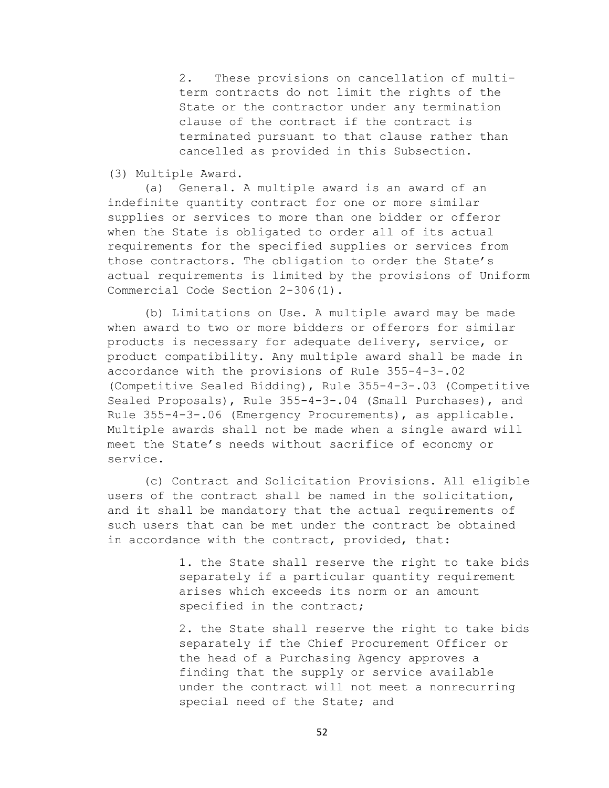2. These provisions on cancellation of multiterm contracts do not limit the rights of the State or the contractor under any termination clause of the contract if the contract is terminated pursuant to that clause rather than cancelled as provided in this Subsection.

## (3) Multiple Award.

(a) General. A multiple award is an award of an indefinite quantity contract for one or more similar supplies or services to more than one bidder or offeror when the State is obligated to order all of its actual requirements for the specified supplies or services from those contractors. The obligation to order the State's actual requirements is limited by the provisions of Uniform Commercial Code Section 2-306(1).

(b) Limitations on Use. A multiple award may be made when award to two or more bidders or offerors for similar products is necessary for adequate delivery, service, or product compatibility. Any multiple award shall be made in accordance with the provisions of Rule 355-4-3-.02 (Competitive Sealed Bidding), Rule 355-4-3-.03 (Competitive Sealed Proposals), Rule 355-4-3-.04 (Small Purchases), and Rule 355-4-3-.06 (Emergency Procurements), as applicable. Multiple awards shall not be made when a single award will meet the State's needs without sacrifice of economy or service.

(c) Contract and Solicitation Provisions. All eligible users of the contract shall be named in the solicitation, and it shall be mandatory that the actual requirements of such users that can be met under the contract be obtained in accordance with the contract, provided, that:

> 1. the State shall reserve the right to take bids separately if a particular quantity requirement arises which exceeds its norm or an amount specified in the contract;

> 2. the State shall reserve the right to take bids separately if the Chief Procurement Officer or the head of a Purchasing Agency approves a finding that the supply or service available under the contract will not meet a nonrecurring special need of the State; and